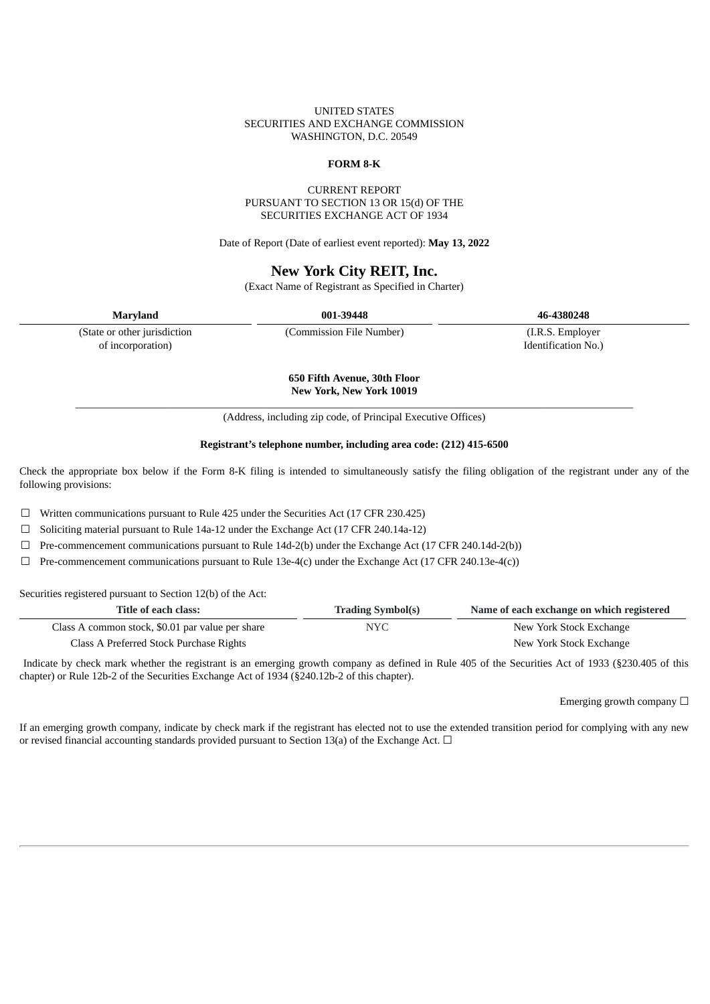### UNITED STATES SECURITIES AND EXCHANGE COMMISSION WASHINGTON, D.C. 20549

#### **FORM 8-K**

### CURRENT REPORT PURSUANT TO SECTION 13 OR 15(d) OF THE SECURITIES EXCHANGE ACT OF 1934

Date of Report (Date of earliest event reported): **May 13, 2022**

### **New York City REIT, Inc.**

(Exact Name of Registrant as Specified in Charter)

| <b>Maryland</b>              | 001-39448                | 46-4380248          |
|------------------------------|--------------------------|---------------------|
| (State or other jurisdiction | (Commission File Number) | (I.R.S. Employer)   |
| of incorporation)            |                          | Identification No.) |

**650 Fifth Avenue, 30th Floor New York, New York 10019**

\_\_\_\_\_\_\_\_\_\_\_\_\_\_\_\_\_\_\_\_\_\_\_\_\_\_\_\_\_\_\_\_\_\_\_\_\_\_\_\_\_\_\_\_\_\_\_\_\_\_\_\_\_\_\_\_\_\_\_\_\_\_\_\_\_\_\_\_\_\_\_\_\_\_\_\_\_\_\_\_\_\_\_\_\_\_\_\_\_\_\_\_\_\_\_\_\_\_\_\_\_\_\_\_ (Address, including zip code, of Principal Executive Offices)

#### **Registrant's telephone number, including area code: (212) 415-6500**

Check the appropriate box below if the Form 8-K filing is intended to simultaneously satisfy the filing obligation of the registrant under any of the following provisions:

☐ Written communications pursuant to Rule 425 under the Securities Act (17 CFR 230.425)

 $\Box$  Soliciting material pursuant to Rule 14a-12 under the Exchange Act (17 CFR 240.14a-12)

 $\Box$  Pre-commencement communications pursuant to Rule 14d-2(b) under the Exchange Act (17 CFR 240.14d-2(b))

 $\Box$  Pre-commencement communications pursuant to Rule 13e-4(c) under the Exchange Act (17 CFR 240.13e-4(c))

Securities registered pursuant to Section 12(b) of the Act:

| Title of each class:                             | <b>Trading Symbol(s)</b> | Name of each exchange on which registered |
|--------------------------------------------------|--------------------------|-------------------------------------------|
| Class A common stock, \$0.01 par value per share | NYC.                     | New York Stock Exchange                   |
| Class A Preferred Stock Purchase Rights          |                          | New York Stock Exchange                   |

Indicate by check mark whether the registrant is an emerging growth company as defined in Rule 405 of the Securities Act of 1933 (§230.405 of this chapter) or Rule 12b-2 of the Securities Exchange Act of 1934 (§240.12b-2 of this chapter).

Emerging growth company  $\Box$ 

If an emerging growth company, indicate by check mark if the registrant has elected not to use the extended transition period for complying with any new or revised financial accounting standards provided pursuant to Section 13(a) of the Exchange Act.  $\Box$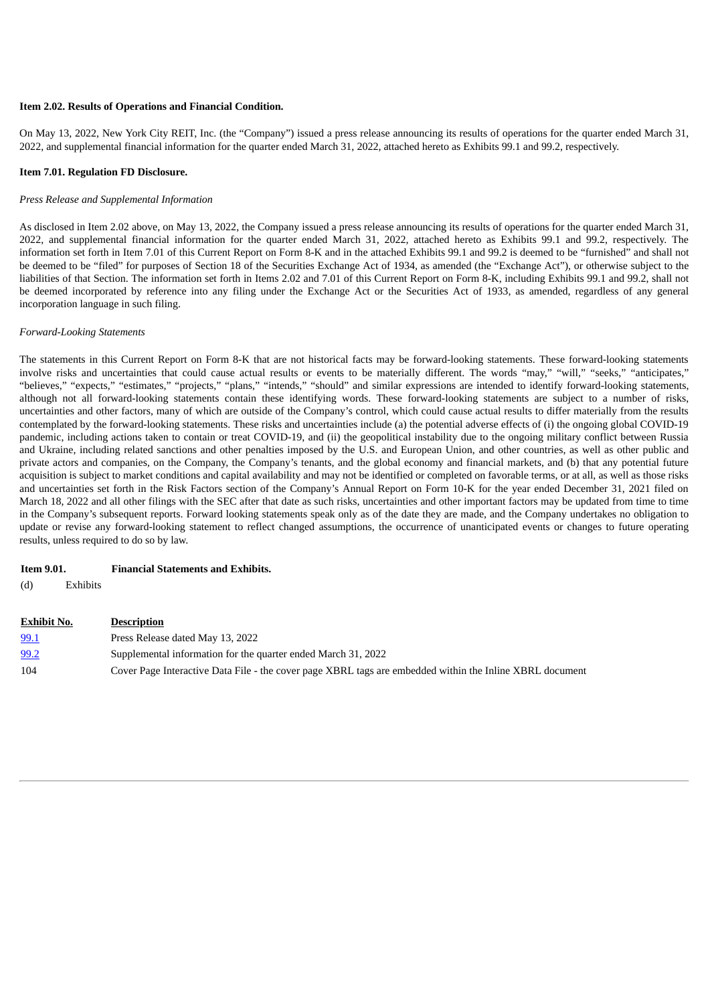#### **Item 2.02. Results of Operations and Financial Condition.**

On May 13, 2022, New York City REIT, Inc. (the "Company") issued a press release announcing its results of operations for the quarter ended March 31, 2022, and supplemental financial information for the quarter ended March 31, 2022, attached hereto as Exhibits 99.1 and 99.2, respectively.

#### **Item 7.01. Regulation FD Disclosure.**

#### *Press Release and Supplemental Information*

As disclosed in Item 2.02 above, on May 13, 2022, the Company issued a press release announcing its results of operations for the quarter ended March 31, 2022, and supplemental financial information for the quarter ended March 31, 2022, attached hereto as Exhibits 99.1 and 99.2, respectively. The information set forth in Item 7.01 of this Current Report on Form 8-K and in the attached Exhibits 99.1 and 99.2 is deemed to be "furnished" and shall not be deemed to be "filed" for purposes of Section 18 of the Securities Exchange Act of 1934, as amended (the "Exchange Act"), or otherwise subject to the liabilities of that Section. The information set forth in Items 2.02 and 7.01 of this Current Report on Form 8-K, including Exhibits 99.1 and 99.2, shall not be deemed incorporated by reference into any filing under the Exchange Act or the Securities Act of 1933, as amended, regardless of any general incorporation language in such filing.

#### *Forward-Looking Statements*

The statements in this Current Report on Form 8-K that are not historical facts may be forward-looking statements. These forward-looking statements involve risks and uncertainties that could cause actual results or events to be materially different. The words "may," "will," "seeks," "anticipates," "believes," "expects," "estimates," "projects," "plans," "intends," "should" and similar expressions are intended to identify forward-looking statements, although not all forward-looking statements contain these identifying words. These forward-looking statements are subject to a number of risks, uncertainties and other factors, many of which are outside of the Company's control, which could cause actual results to differ materially from the results contemplated by the forward-looking statements. These risks and uncertainties include (a) the potential adverse effects of (i) the ongoing global COVID-19 pandemic, including actions taken to contain or treat COVID-19, and (ii) the geopolitical instability due to the ongoing military conflict between Russia and Ukraine, including related sanctions and other penalties imposed by the U.S. and European Union, and other countries, as well as other public and private actors and companies, on the Company, the Company's tenants, and the global economy and financial markets, and (b) that any potential future acquisition is subject to market conditions and capital availability and may not be identified or completed on favorable terms, or at all, as well as those risks and uncertainties set forth in the Risk Factors section of the Company's Annual Report on Form 10-K for the year ended December 31, 2021 filed on March 18, 2022 and all other filings with the SEC after that date as such risks, uncertainties and other important factors may be updated from time to time in the Company's subsequent reports. Forward looking statements speak only as of the date they are made, and the Company undertakes no obligation to update or revise any forward-looking statement to reflect changed assumptions, the occurrence of unanticipated events or changes to future operating results, unless required to do so by law.

### **Item 9.01. Financial Statements and Exhibits.**

(d) Exhibits

| Exhibit No. | <b>Description</b>                                                                                       |
|-------------|----------------------------------------------------------------------------------------------------------|
| 99.1        | Press Release dated May 13, 2022                                                                         |
| 99.2        | Supplemental information for the quarter ended March 31, 2022                                            |
| 104         | Cover Page Interactive Data File - the cover page XBRL tags are embedded within the Inline XBRL document |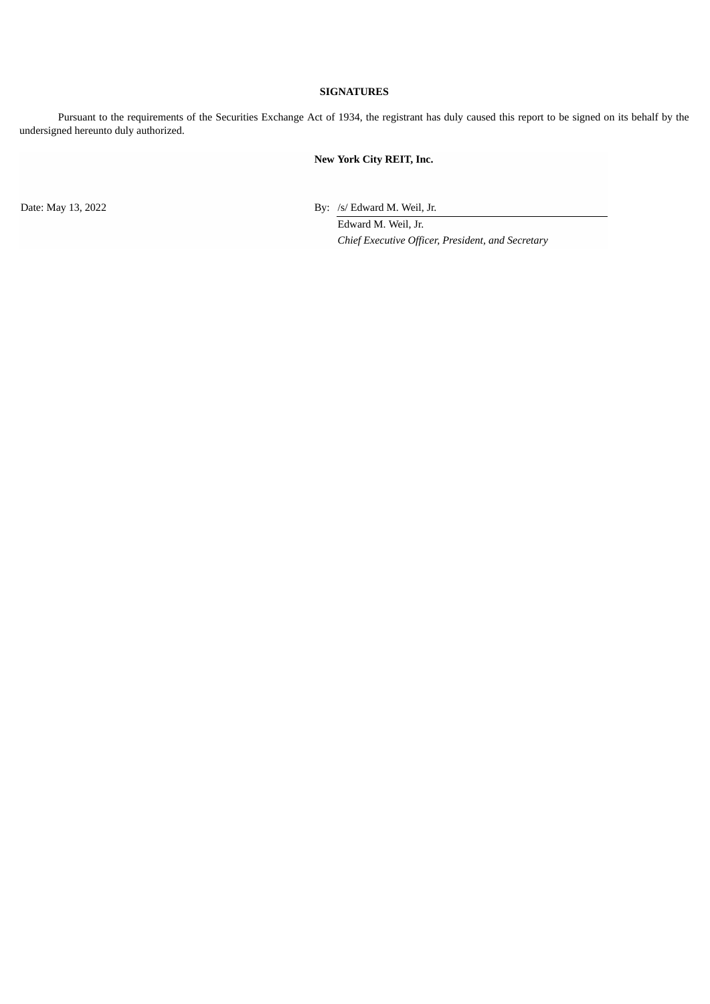### **SIGNATURES**

Pursuant to the requirements of the Securities Exchange Act of 1934, the registrant has duly caused this report to be signed on its behalf by the undersigned hereunto duly authorized.

### **New York City REIT, Inc.**

Date: May 13, 2022 By: /s/ Edward M. Weil, Jr.

Edward M. Weil, Jr. *Chief Executive Officer, President, and Secretary*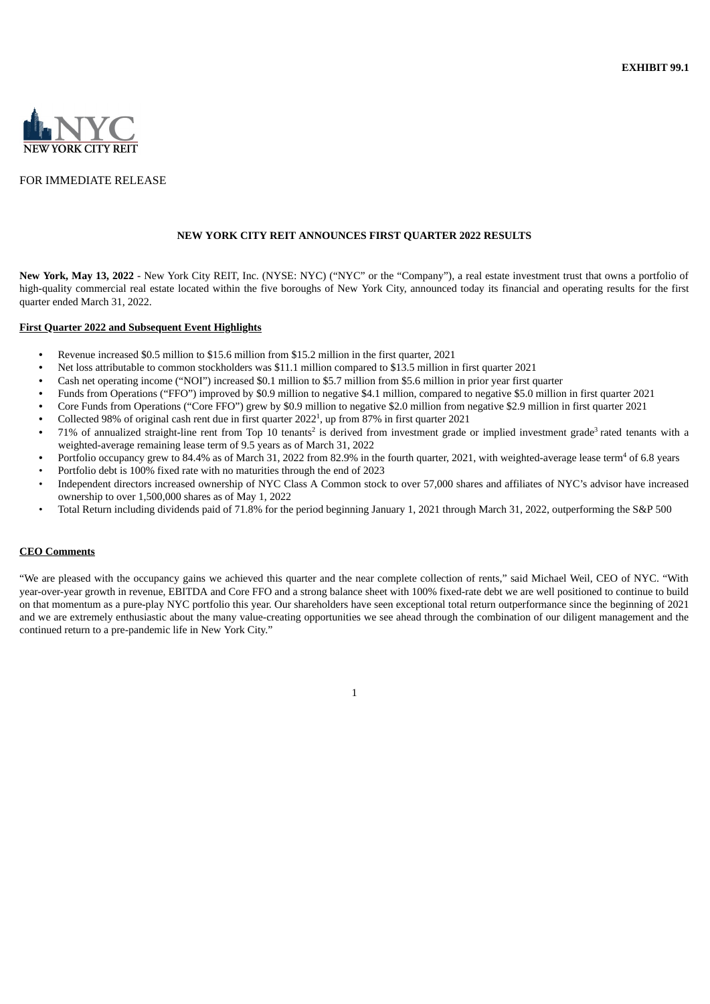<span id="page-4-0"></span>

### FOR IMMEDIATE RELEASE

#### **NEW YORK CITY REIT ANNOUNCES FIRST QUARTER 2022 RESULTS**

**New York, May 13, 2022** - New York City REIT, Inc. (NYSE: NYC) ("NYC" or the "Company"), a real estate investment trust that owns a portfolio of high-quality commercial real estate located within the five boroughs of New York City, announced today its financial and operating results for the first quarter ended March 31, 2022.

#### **First Quarter 2022 and Subsequent Event Highlights**

- **•** Revenue increased \$0.5 million to \$15.6 million from \$15.2 million in the first quarter, 2021
- **•** Net loss attributable to common stockholders was \$11.1 million compared to \$13.5 million in first quarter 2021
- **•** Cash net operating income ("NOI") increased \$0.1 million to \$5.7 million from \$5.6 million in prior year first quarter
- **•** Funds from Operations ("FFO") improved by \$0.9 million to negative \$4.1 million, compared to negative \$5.0 million in first quarter 2021
- **•** Core Funds from Operations ("Core FFO") grew by \$0.9 million to negative \$2.0 million from negative \$2.9 million in first quarter 2021
- Collected 98% of original cash rent due in first quarter 2022<sup>1</sup>, up from 87% in first quarter 2021
- 71% of annualized straight-line rent from Top 10 tenants<sup>2</sup> is derived from investment grade or implied investment grade<sup>3</sup> rated tenants with a weighted-average remaining lease term of 9.5 years as of March 31, 2022
- Portfolio occupancy grew to 84.4% as of March 31, 2022 from 82.9% in the fourth quarter, 2021, with weighted-average lease term<sup>4</sup> of 6.8 years • Portfolio debt is 100% fixed rate with no maturities through the end of 2023
- Independent directors increased ownership of NYC Class A Common stock to over 57,000 shares and affiliates of NYC's advisor have increased ownership to over 1,500,000 shares as of May 1, 2022
- Total Return including dividends paid of 71.8% for the period beginning January 1, 2021 through March 31, 2022, outperforming the S&P 500

#### **CEO Comments**

"We are pleased with the occupancy gains we achieved this quarter and the near complete collection of rents," said Michael Weil, CEO of NYC. "With year-over-year growth in revenue, EBITDA and Core FFO and a strong balance sheet with 100% fixed-rate debt we are well positioned to continue to build on that momentum as a pure-play NYC portfolio this year. Our shareholders have seen exceptional total return outperformance since the beginning of 2021 and we are extremely enthusiastic about the many value-creating opportunities we see ahead through the combination of our diligent management and the continued return to a pre-pandemic life in New York City."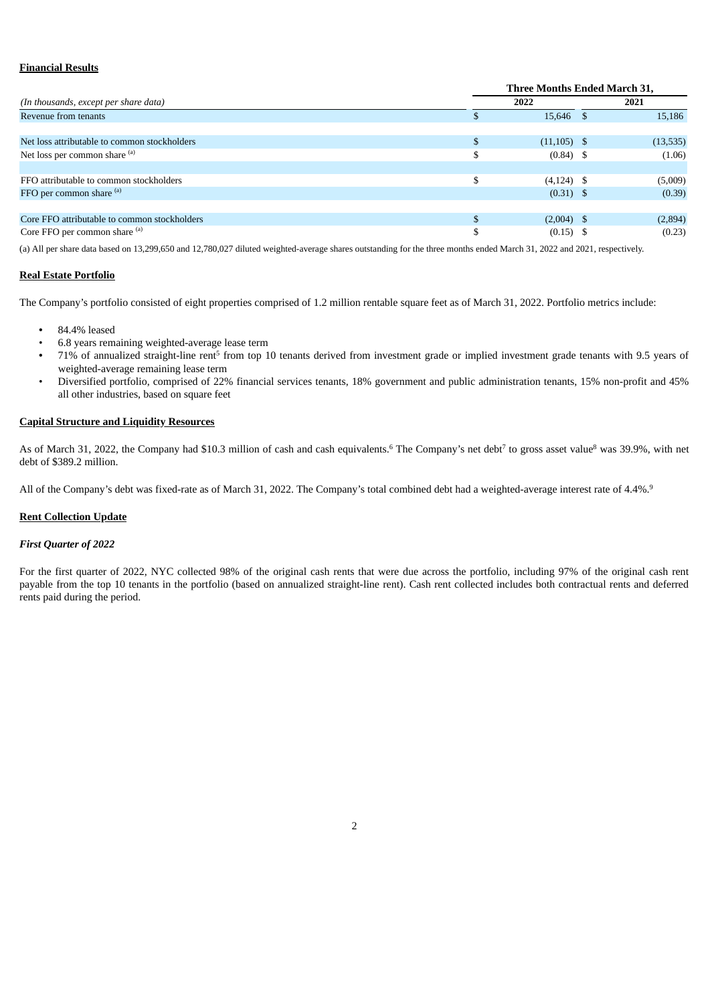#### **Financial Results**

|                                              | <b>Three Months Ended March 31,</b> |          |
|----------------------------------------------|-------------------------------------|----------|
| (In thousands, except per share data)        | 2022                                | 2021     |
| Revenue from tenants                         | 15,646                              | 15,186   |
|                                              |                                     |          |
| Net loss attributable to common stockholders | $(11, 105)$ \$                      | (13,535) |
| Net loss per common share (a)                | $(0.84)$ \$                         | (1.06)   |
|                                              |                                     |          |
| FFO attributable to common stockholders      | $(4,124)$ \$                        | (5,009)  |
| FFO per common share (a)                     | $(0.31)$ \$                         | (0.39)   |
|                                              |                                     |          |
| Core FFO attributable to common stockholders | $(2,004)$ \$                        | (2,894)  |
| Core FFO per common share (a)                | $(0.15)$ \$                         | (0.23)   |
|                                              |                                     |          |

(a) All per share data based on 13,299,650 and 12,780,027 diluted weighted-average shares outstanding for the three months ended March 31, 2022 and 2021, respectively.

#### **Real Estate Portfolio**

The Company's portfolio consisted of eight properties comprised of 1.2 million rentable square feet as of March 31, 2022. Portfolio metrics include:

- **•** 84.4% leased
- 6.8 years remaining weighted-average lease term
- 71% of annualized straight-line rent<sup>5</sup> from top 10 tenants derived from investment grade or implied investment grade tenants with 9.5 years of weighted-average remaining lease term
- Diversified portfolio, comprised of 22% financial services tenants, 18% government and public administration tenants, 15% non-profit and 45% all other industries, based on square feet

#### **Capital Structure and Liquidity Resources**

As of March 31, 2022, the Company had \$10.3 million of cash and cash equivalents.<sup>6</sup> The Company's net debt<sup>7</sup> to gross asset value<sup>8</sup> was 39.9%, with net debt of \$389.2 million.

All of the Company's debt was fixed-rate as of March 31, 2022. The Company's total combined debt had a weighted-average interest rate of 4.4%.<sup>9</sup>

#### **Rent Collection Update**

#### *First Quarter of 2022*

For the first quarter of 2022, NYC collected 98% of the original cash rents that were due across the portfolio, including 97% of the original cash rent payable from the top 10 tenants in the portfolio (based on annualized straight-line rent). Cash rent collected includes both contractual rents and deferred rents paid during the period.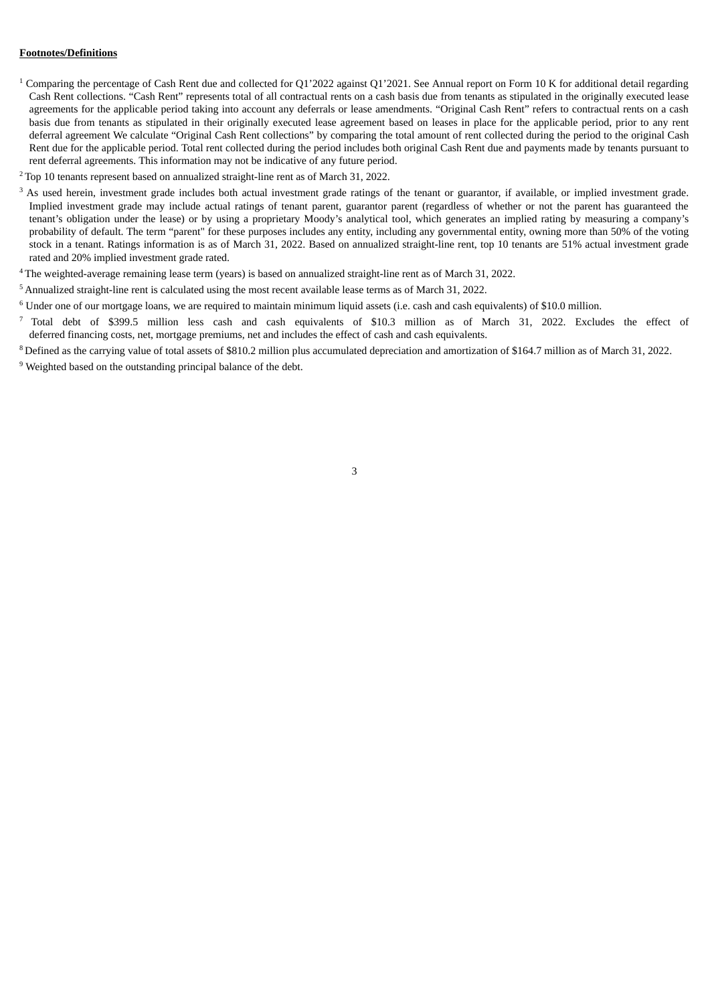#### **Footnotes/Definitions**

- <sup>1</sup> Comparing the percentage of Cash Rent due and collected for Q1'2022 against Q1'2021. See Annual report on Form 10 K for additional detail regarding Cash Rent collections. "Cash Rent" represents total of all contractual rents on a cash basis due from tenants as stipulated in the originally executed lease agreements for the applicable period taking into account any deferrals or lease amendments. "Original Cash Rent" refers to contractual rents on a cash basis due from tenants as stipulated in their originally executed lease agreement based on leases in place for the applicable period, prior to any rent deferral agreement We calculate "Original Cash Rent collections" by comparing the total amount of rent collected during the period to the original Cash Rent due for the applicable period. Total rent collected during the period includes both original Cash Rent due and payments made by tenants pursuant to rent deferral agreements. This information may not be indicative of any future period.
- $2$ Top 10 tenants represent based on annualized straight-line rent as of March 31, 2022.
- $3$  As used herein, investment grade includes both actual investment grade ratings of the tenant or guarantor, if available, or implied investment grade. Implied investment grade may include actual ratings of tenant parent, guarantor parent (regardless of whether or not the parent has guaranteed the tenant's obligation under the lease) or by using a proprietary Moody's analytical tool, which generates an implied rating by measuring a company's probability of default. The term "parent" for these purposes includes any entity, including any governmental entity, owning more than 50% of the voting stock in a tenant. Ratings information is as of March 31, 2022. Based on annualized straight-line rent, top 10 tenants are 51% actual investment grade rated and 20% implied investment grade rated.
- $4$ The weighted-average remaining lease term (years) is based on annualized straight-line rent as of March 31, 2022.
- $5$  Annualized straight-line rent is calculated using the most recent available lease terms as of March 31, 2022.
- $6$  Under one of our mortgage loans, we are required to maintain minimum liquid assets (i.e. cash and cash equivalents) of \$10.0 million.
- $^7$  Total debt of \$399.5 million less cash and cash equivalents of \$10.3 million as of March 31, 2022. Excludes the effect of deferred financing costs, net, mortgage premiums, net and includes the effect of cash and cash equivalents.
- $8$  Defined as the carrying value of total assets of \$810.2 million plus accumulated depreciation and amortization of \$164.7 million as of March 31, 2022.

 $9$  Weighted based on the outstanding principal balance of the debt.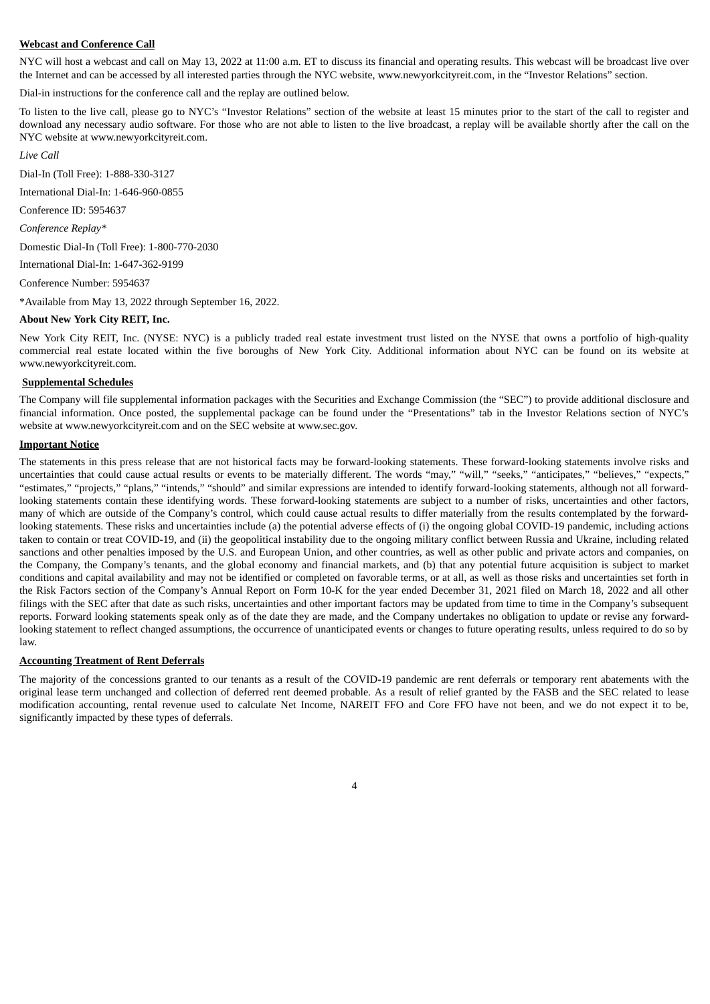#### **Webcast and Conference Call**

NYC will host a webcast and call on May 13, 2022 at 11:00 a.m. ET to discuss its financial and operating results. This webcast will be broadcast live over the Internet and can be accessed by all interested parties through the NYC website, www.newyorkcityreit.com, in the "Investor Relations" section.

Dial-in instructions for the conference call and the replay are outlined below.

To listen to the live call, please go to NYC's "Investor Relations" section of the website at least 15 minutes prior to the start of the call to register and download any necessary audio software. For those who are not able to listen to the live broadcast, a replay will be available shortly after the call on the NYC website at www.newyorkcityreit.com.

*Live Call*

Dial-In (Toll Free): 1-888-330-3127

International Dial-In: 1-646-960-0855

Conference ID: 5954637

*Conference Replay\**

Domestic Dial-In (Toll Free): 1-800-770-2030

International Dial-In: 1-647-362-9199

Conference Number: 5954637

\*Available from May 13, 2022 through September 16, 2022.

### **About New York City REIT, Inc.**

New York City REIT, Inc. (NYSE: NYC) is a publicly traded real estate investment trust listed on the NYSE that owns a portfolio of high-quality commercial real estate located within the five boroughs of New York City. Additional information about NYC can be found on its website at www.newyorkcityreit.com.

#### **Supplemental Schedules**

The Company will file supplemental information packages with the Securities and Exchange Commission (the "SEC") to provide additional disclosure and financial information. Once posted, the supplemental package can be found under the "Presentations" tab in the Investor Relations section of NYC's website at www.newyorkcityreit.com and on the SEC website at www.sec.gov.

#### **Important Notice**

The statements in this press release that are not historical facts may be forward-looking statements. These forward-looking statements involve risks and uncertainties that could cause actual results or events to be materially different. The words "may," "will," "seeks," "anticipates," "believes," "expects," "estimates," "projects," "plans," "intends," "should" and similar expressions are intended to identify forward-looking statements, although not all forwardlooking statements contain these identifying words. These forward-looking statements are subject to a number of risks, uncertainties and other factors, many of which are outside of the Company's control, which could cause actual results to differ materially from the results contemplated by the forwardlooking statements. These risks and uncertainties include (a) the potential adverse effects of (i) the ongoing global COVID-19 pandemic, including actions taken to contain or treat COVID-19, and (ii) the geopolitical instability due to the ongoing military conflict between Russia and Ukraine, including related sanctions and other penalties imposed by the U.S. and European Union, and other countries, as well as other public and private actors and companies, on the Company, the Company's tenants, and the global economy and financial markets, and (b) that any potential future acquisition is subject to market conditions and capital availability and may not be identified or completed on favorable terms, or at all, as well as those risks and uncertainties set forth in the Risk Factors section of the Company's Annual Report on Form 10-K for the year ended December 31, 2021 filed on March 18, 2022 and all other filings with the SEC after that date as such risks, uncertainties and other important factors may be updated from time to time in the Company's subsequent reports. Forward looking statements speak only as of the date they are made, and the Company undertakes no obligation to update or revise any forwardlooking statement to reflect changed assumptions, the occurrence of unanticipated events or changes to future operating results, unless required to do so by law.

#### **Accounting Treatment of Rent Deferrals**

The majority of the concessions granted to our tenants as a result of the COVID-19 pandemic are rent deferrals or temporary rent abatements with the original lease term unchanged and collection of deferred rent deemed probable. As a result of relief granted by the FASB and the SEC related to lease modification accounting, rental revenue used to calculate Net Income, NAREIT FFO and Core FFO have not been, and we do not expect it to be, significantly impacted by these types of deferrals.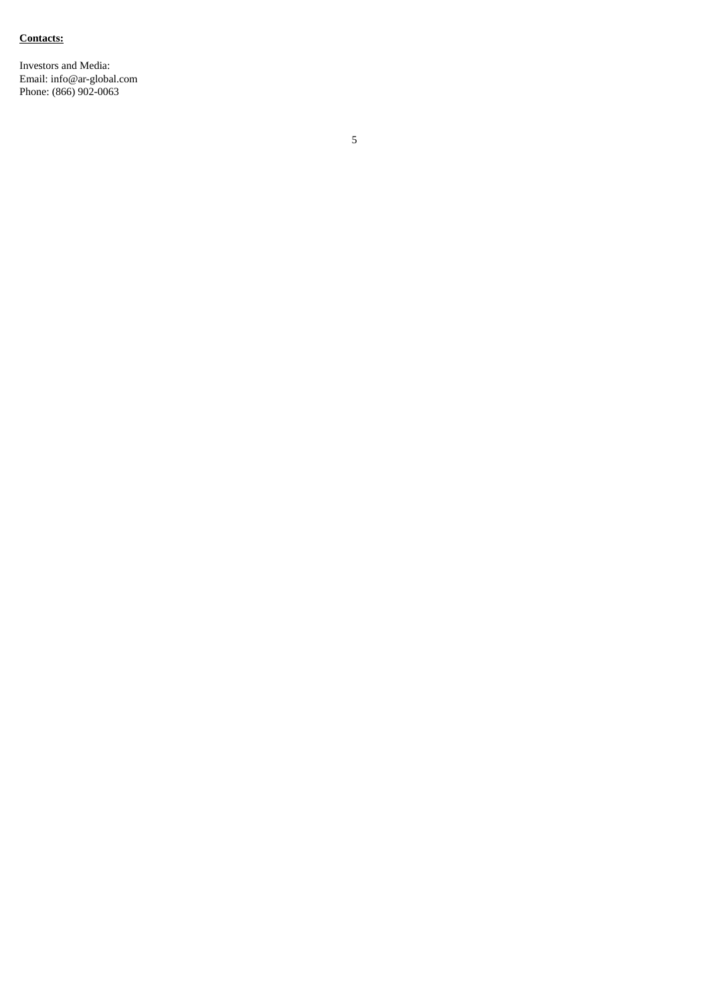#### **Contacts:**

Investors and Media: Email: info@ar-globa l.c o m Phone: (866) 902-0063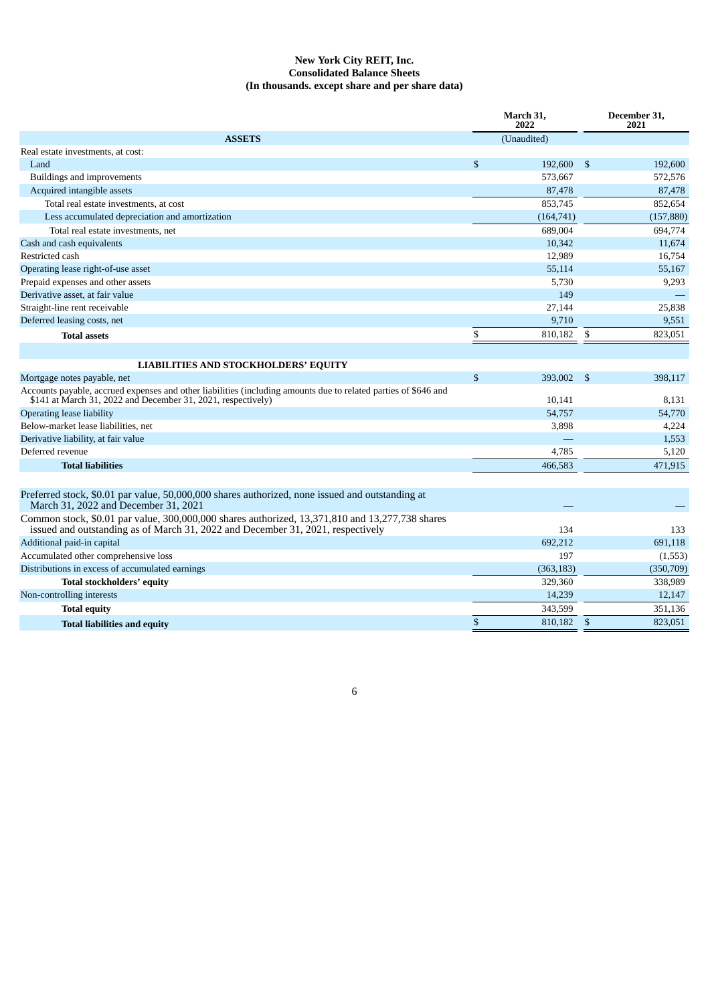#### **New York City REIT, Inc. Consolidated Balance Sheets (In thousands. except share and per share data)**

|                                                                                                                                                                                    |              | March 31,<br>2022 |                        | December 31,<br>2021 |
|------------------------------------------------------------------------------------------------------------------------------------------------------------------------------------|--------------|-------------------|------------------------|----------------------|
| <b>ASSETS</b>                                                                                                                                                                      |              | (Unaudited)       |                        |                      |
| Real estate investments, at cost:                                                                                                                                                  |              |                   |                        |                      |
| Land                                                                                                                                                                               | \$           | 192,600           | $\sqrt{5}$             | 192,600              |
| Buildings and improvements                                                                                                                                                         |              | 573,667           |                        | 572,576              |
| Acquired intangible assets                                                                                                                                                         |              | 87,478            |                        | 87,478               |
| Total real estate investments, at cost                                                                                                                                             |              | 853,745           |                        | 852,654              |
| Less accumulated depreciation and amortization                                                                                                                                     |              | (164, 741)        |                        | (157, 880)           |
| Total real estate investments, net                                                                                                                                                 |              | 689,004           |                        | 694,774              |
| Cash and cash equivalents                                                                                                                                                          |              | 10,342            |                        | 11,674               |
| Restricted cash                                                                                                                                                                    |              | 12,989            |                        | 16,754               |
| Operating lease right-of-use asset                                                                                                                                                 |              | 55,114            |                        | 55,167               |
| Prepaid expenses and other assets                                                                                                                                                  |              | 5,730             |                        | 9,293                |
| Derivative asset, at fair value                                                                                                                                                    |              | 149               |                        |                      |
| Straight-line rent receivable                                                                                                                                                      |              | 27,144            |                        | 25,838               |
| Deferred leasing costs, net                                                                                                                                                        |              | 9,710             |                        | 9,551                |
| <b>Total assets</b>                                                                                                                                                                | \$           | 810,182           | \$                     | 823,051              |
|                                                                                                                                                                                    |              |                   |                        |                      |
| <b>LIABILITIES AND STOCKHOLDERS' EQUITY</b>                                                                                                                                        |              |                   |                        |                      |
| Mortgage notes payable, net                                                                                                                                                        | $\mathbb{S}$ | 393,002           | $\mathbf{\mathcal{S}}$ | 398,117              |
| Accounts payable, accrued expenses and other liabilities (including amounts due to related parties of \$646 and<br>\$141 at March 31, 2022 and December 31, 2021, respectively)    |              | 10,141            |                        | 8,131                |
| <b>Operating lease liability</b>                                                                                                                                                   |              | 54,757            |                        | 54,770               |
| Below-market lease liabilities, net                                                                                                                                                |              | 3,898             |                        | 4,224                |
| Derivative liability, at fair value                                                                                                                                                |              |                   |                        | 1,553                |
| Deferred revenue                                                                                                                                                                   |              | 4,785             |                        | 5,120                |
| <b>Total liabilities</b>                                                                                                                                                           |              | 466,583           |                        | 471,915              |
|                                                                                                                                                                                    |              |                   |                        |                      |
| Preferred stock, \$0.01 par value, 50,000,000 shares authorized, none issued and outstanding at<br>March 31, 2022 and December 31, 2021                                            |              |                   |                        |                      |
| Common stock, \$0.01 par value, 300,000,000 shares authorized, 13,371,810 and 13,277,738 shares<br>issued and outstanding as of March 31, 2022 and December 31, 2021, respectively |              | 134               |                        | 133                  |
| Additional paid-in capital                                                                                                                                                         |              | 692,212           |                        | 691,118              |
| Accumulated other comprehensive loss                                                                                                                                               |              | 197               |                        | (1,553)              |
| Distributions in excess of accumulated earnings                                                                                                                                    |              | (363, 183)        |                        | (350, 709)           |
| Total stockholders' equity                                                                                                                                                         |              | 329,360           |                        | 338,989              |
| Non-controlling interests                                                                                                                                                          |              | 14,239            |                        | 12,147               |
| <b>Total equity</b>                                                                                                                                                                |              | 343,599           |                        | 351,136              |
| <b>Total liabilities and equity</b>                                                                                                                                                | \$           | 810,182           | \$                     | 823,051              |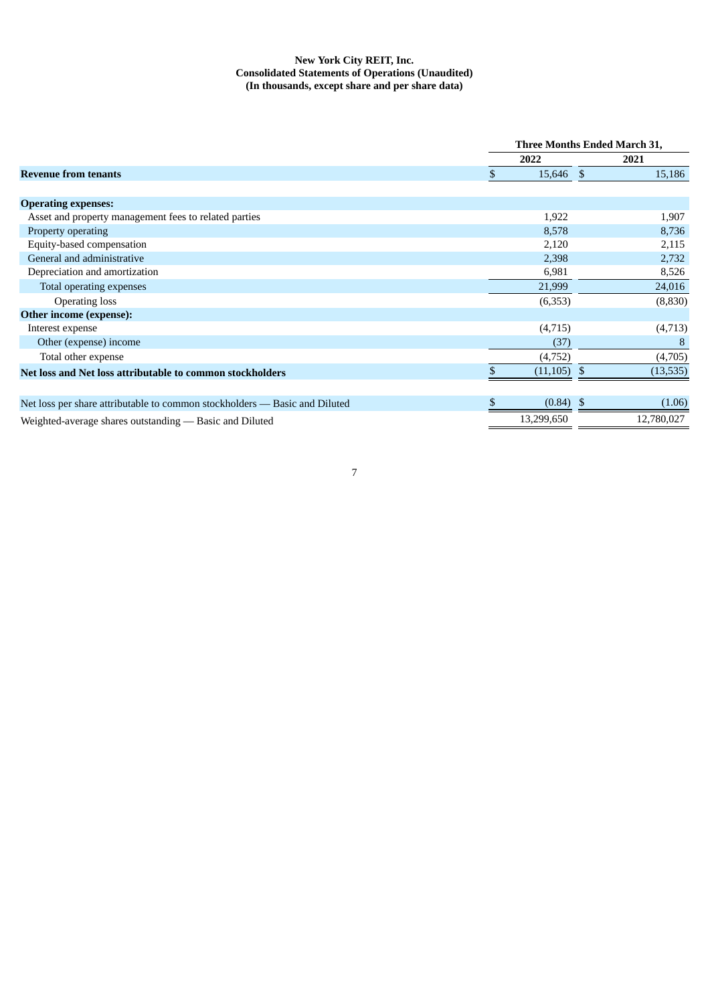#### **New York City REIT, Inc. Consolidated Statements of Operations (Unaudited) (In thousands, except share and per share data)**

|                                                                            | <b>Three Months Ended March 31,</b> |               |  |            |
|----------------------------------------------------------------------------|-------------------------------------|---------------|--|------------|
|                                                                            |                                     | 2022          |  | 2021       |
| Revenue from tenants                                                       |                                     | 15,646 \$     |  | 15,186     |
|                                                                            |                                     |               |  |            |
| <b>Operating expenses:</b>                                                 |                                     |               |  |            |
| Asset and property management fees to related parties                      |                                     | 1,922         |  | 1,907      |
| Property operating                                                         |                                     | 8,578         |  | 8,736      |
| Equity-based compensation                                                  |                                     | 2,120         |  | 2,115      |
| General and administrative                                                 |                                     | 2,398         |  | 2,732      |
| Depreciation and amortization                                              |                                     | 6,981         |  | 8,526      |
| Total operating expenses                                                   |                                     | 21,999        |  | 24,016     |
| <b>Operating loss</b>                                                      |                                     | (6,353)       |  | (8,830)    |
| Other income (expense):                                                    |                                     |               |  |            |
| Interest expense                                                           |                                     | (4,715)       |  | (4,713)    |
| Other (expense) income                                                     |                                     | (37)          |  | 8          |
| Total other expense                                                        |                                     | (4,752)       |  | (4,705)    |
| Net loss and Net loss attributable to common stockholders                  |                                     | $(11,105)$ \$ |  | (13,535)   |
|                                                                            |                                     |               |  |            |
| Net loss per share attributable to common stockholders — Basic and Diluted |                                     | $(0.84)$ \$   |  | (1.06)     |
| Weighted-average shares outstanding — Basic and Diluted                    |                                     | 13,299,650    |  | 12,780,027 |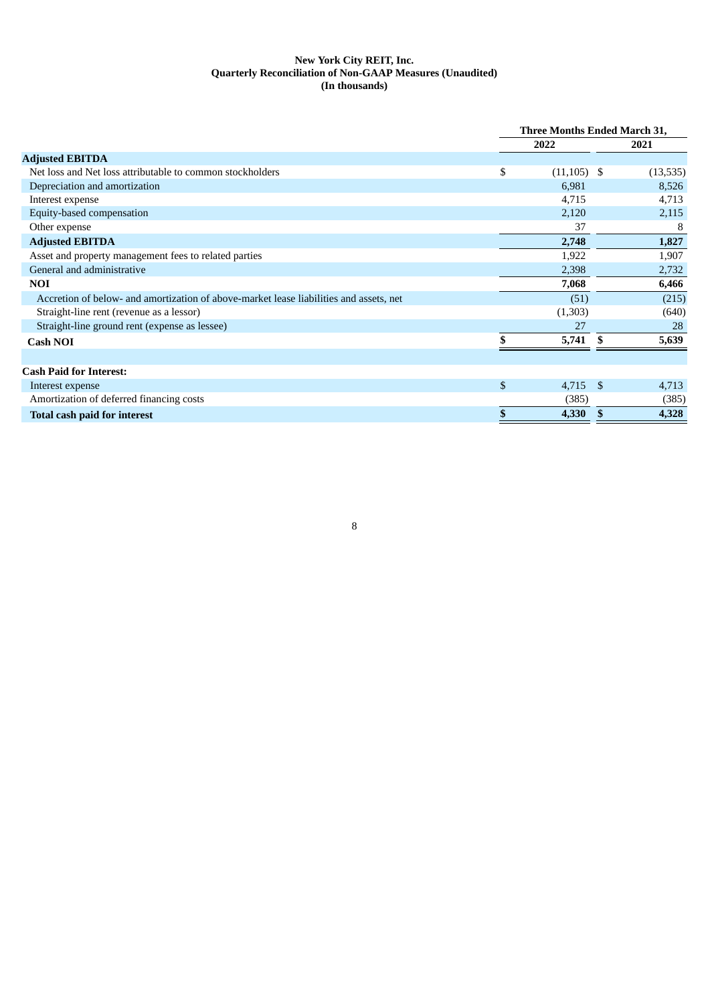### **New York City REIT, Inc. Quarterly Reconciliation of Non-GAAP Measures (Unaudited) (In thousands)**

|                                                                                        | <b>Three Months Ended March 31,</b> |              |  |
|----------------------------------------------------------------------------------------|-------------------------------------|--------------|--|
|                                                                                        | 2022                                | 2021         |  |
| <b>Adjusted EBITDA</b>                                                                 |                                     |              |  |
| Net loss and Net loss attributable to common stockholders                              | \$<br>$(11, 105)$ \$                | (13, 535)    |  |
| Depreciation and amortization                                                          | 6,981                               | 8,526        |  |
| Interest expense                                                                       | 4,715                               | 4,713        |  |
| Equity-based compensation                                                              | 2,120                               | 2,115        |  |
| Other expense                                                                          | 37                                  | 8            |  |
| <b>Adjusted EBITDA</b>                                                                 | 2,748                               | 1,827        |  |
| Asset and property management fees to related parties                                  | 1,922                               | 1,907        |  |
| General and administrative                                                             | 2,398                               | 2,732        |  |
| <b>NOI</b>                                                                             | 7,068                               | 6,466        |  |
| Accretion of below- and amortization of above-market lease liabilities and assets, net | (51)                                | (215)        |  |
| Straight-line rent (revenue as a lessor)                                               | (1,303)                             | (640)        |  |
| Straight-line ground rent (expense as lessee)                                          | 27                                  | 28           |  |
| <b>Cash NOI</b>                                                                        | 5,741                               | 5,639<br>\$. |  |
|                                                                                        |                                     |              |  |
| <b>Cash Paid for Interest:</b>                                                         |                                     |              |  |
| Interest expense                                                                       | \$<br>$4,715$ \$                    | 4,713        |  |
| Amortization of deferred financing costs                                               | (385)                               | (385)        |  |
| <b>Total cash paid for interest</b>                                                    | \$<br>4,330                         | 4,328        |  |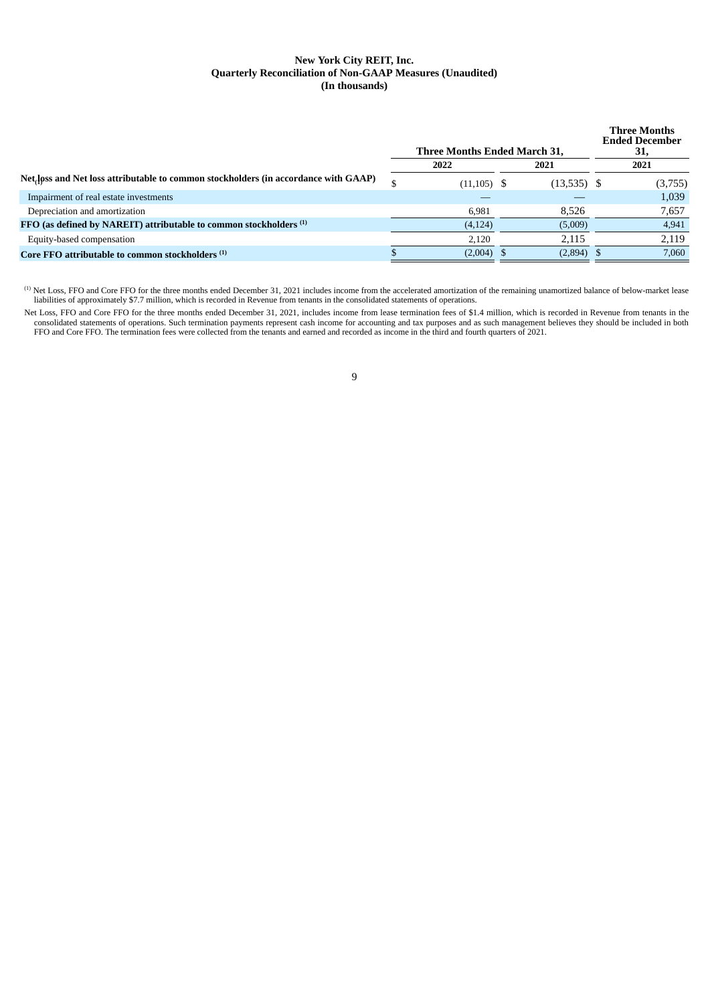#### **New York City REIT, Inc. Quarterly Reconciliation of Non-GAAP Measures (Unaudited) (In thousands)**

|                                                                                                  | <b>Three Months Ended March 31,</b> | <b>Three Months</b><br><b>Ended December</b><br>31, |         |
|--------------------------------------------------------------------------------------------------|-------------------------------------|-----------------------------------------------------|---------|
|                                                                                                  | 2022                                | 2021                                                | 2021    |
| Net <sub>r</sub> loss and Net loss attributable to common stockholders (in accordance with GAAP) | $(11, 105)$ \$                      | $(13,535)$ \$                                       | (3,755) |
| Impairment of real estate investments                                                            |                                     |                                                     | 1,039   |
| Depreciation and amortization                                                                    | 6,981                               | 8,526                                               | 7,657   |
| FFO (as defined by NAREIT) attributable to common stockholders (1)                               | (4, 124)                            | (5,009)                                             | 4,941   |
| Equity-based compensation                                                                        | 2,120                               | 2,115                                               | 2,119   |
| Core FFO attributable to common stockholders <sup>(1)</sup>                                      | (2,004)                             | $(2,894)$ \$                                        | 7,060   |
|                                                                                                  |                                     |                                                     |         |

 $^{(1)}$  Net Loss, FFO and Core FFO for the three months ended December 31, 2021 includes income from the accelerated amortization of the remaining unamortized balance of below-market lease liabilities of approximately \$7.7 million, which is recorded in Revenue from tenants in the consolidated statements of operations.

Net Loss, FFO and Core FFO for the three months ended December 31, 2021, includes income from lease termination fees of \$1.4 million, which is recorded in Revenue from tenants in the consolidated statements of operations. Such termination payments represent cash income for accounting and tax purposes and as such management believes they should be included in both FFO and Core FFO. The termination fees were collected from the tenants and earned and recorded as income in the third and fourth quarters of 2021.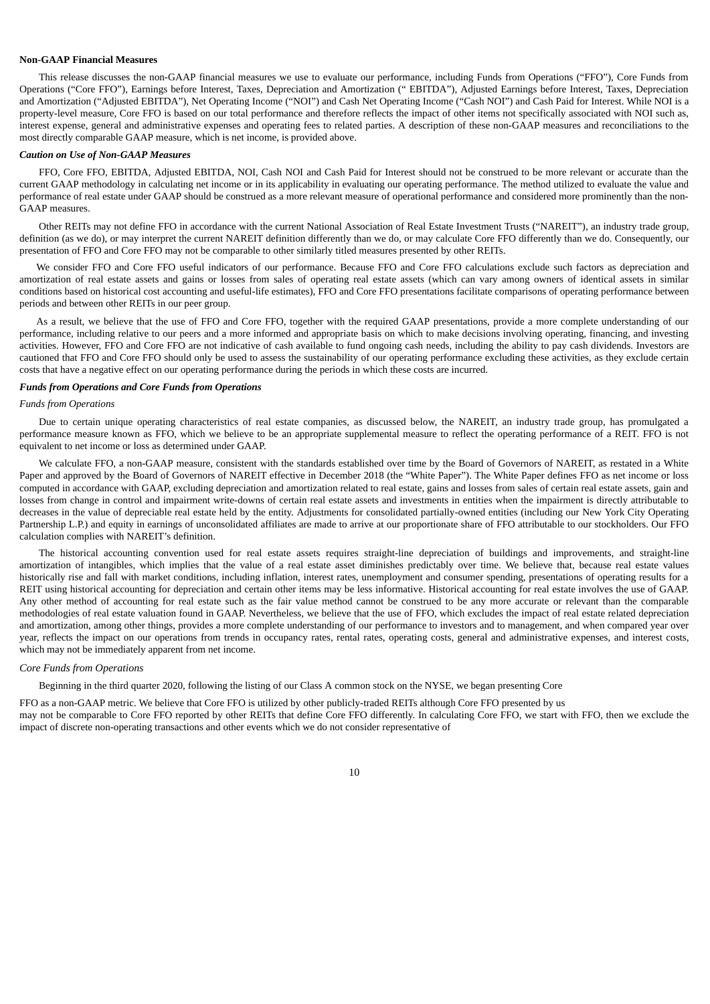#### **Non-GAAP Financial Measures**

This release discusses the non-GAAP financial measures we use to evaluate our performance, including Funds from Operations ("FFO"), Core Funds from Operations ("Core FFO"), Earnings before Interest, Taxes, Depreciation and Amortization (" EBITDA"), Adjusted Earnings before Interest, Taxes, Depreciation and Amortization ("Adjusted EBITDA"), Net Operating Income ("NOI") and Cash Net Operating Income ("Cash NOI") and Cash Paid for Interest. While NOI is a property-level measure, Core FFO is based on our total performance and therefore reflects the impact of other items not specifically associated with NOI such as, interest expense, general and administrative expenses and operating fees to related parties. A description of these non-GAAP measures and reconciliations to the most directly comparable GAAP measure, which is net income, is provided above.

#### *Caution on Use of Non-GAAP Measures*

FFO, Core FFO, EBITDA, Adjusted EBITDA, NOI, Cash NOI and Cash Paid for Interest should not be construed to be more relevant or accurate than the current GAAP methodology in calculating net income or in its applicability in evaluating our operating performance. The method utilized to evaluate the value and performance of real estate under GAAP should be construed as a more relevant measure of operational performance and considered more prominently than the non-GAAP measures.

Other REITs may not define FFO in accordance with the current National Association of Real Estate Investment Trusts ("NAREIT"), an industry trade group, definition (as we do), or may interpret the current NAREIT definition differently than we do, or may calculate Core FFO differently than we do. Consequently, our presentation of FFO and Core FFO may not be comparable to other similarly titled measures presented by other REITs.

We consider FFO and Core FFO useful indicators of our performance. Because FFO and Core FFO calculations exclude such factors as depreciation and amortization of real estate assets and gains or losses from sales of operating real estate assets (which can vary among owners of identical assets in similar conditions based on historical cost accounting and useful-life estimates), FFO and Core FFO presentations facilitate comparisons of operating performance between periods and between other REITs in our peer group.

As a result, we believe that the use of FFO and Core FFO, together with the required GAAP presentations, provide a more complete understanding of our performance, including relative to our peers and a more informed and appropriate basis on which to make decisions involving operating, financing, and investing activities. However, FFO and Core FFO are not indicative of cash available to fund ongoing cash needs, including the ability to pay cash dividends. Investors are cautioned that FFO and Core FFO should only be used to assess the sustainability of our operating performance excluding these activities, as they exclude certain costs that have a negative effect on our operating performance during the periods in which these costs are incurred.

#### *Funds from Operations and Core Funds from Operations*

#### *Funds from Operations*

Due to certain unique operating characteristics of real estate companies, as discussed below, the NAREIT, an industry trade group, has promulgated a performance measure known as FFO, which we believe to be an appropriate supplemental measure to reflect the operating performance of a REIT. FFO is not equivalent to net income or loss as determined under GAAP.

We calculate FFO, a non-GAAP measure, consistent with the standards established over time by the Board of Governors of NAREIT, as restated in a White Paper and approved by the Board of Governors of NAREIT effective in December 2018 (the "White Paper"). The White Paper defines FFO as net income or loss computed in accordance with GAAP, excluding depreciation and amortization related to real estate, gains and losses from sales of certain real estate assets, gain and losses from change in control and impairment write-downs of certain real estate assets and investments in entities when the impairment is directly attributable to decreases in the value of depreciable real estate held by the entity. Adjustments for consolidated partially-owned entities (including our New York City Operating Partnership L.P.) and equity in earnings of unconsolidated affiliates are made to arrive at our proportionate share of FFO attributable to our stockholders. Our FFO calculation complies with NAREIT's definition.

The historical accounting convention used for real estate assets requires straight-line depreciation of buildings and improvements, and straight-line amortization of intangibles, which implies that the value of a real estate asset diminishes predictably over time. We believe that, because real estate values historically rise and fall with market conditions, including inflation, interest rates, unemployment and consumer spending, presentations of operating results for a REIT using historical accounting for depreciation and certain other items may be less informative. Historical accounting for real estate involves the use of GAAP. Any other method of accounting for real estate such as the fair value method cannot be construed to be any more accurate or relevant than the comparable methodologies of real estate valuation found in GAAP. Nevertheless, we believe that the use of FFO, which excludes the impact of real estate related depreciation and amortization, among other things, provides a more complete understanding of our performance to investors and to management, and when compared year over year, reflects the impact on our operations from trends in occupancy rates, rental rates, operating costs, general and administrative expenses, and interest costs, which may not be immediately apparent from net income.

#### *Core Funds from Operations*

Beginning in the third quarter 2020, following the listing of our Class A common stock on the NYSE, we began presenting Core

FFO as a non-GAAP metric. We believe that Core FFO is utilized by other publicly-traded REITs although Core FFO presented by us may not be comparable to Core FFO reported by other REITs that define Core FFO differently. In calculating Core FFO, we start with FFO, then we exclude the impact of discrete non-operating transactions and other events which we do not consider representative of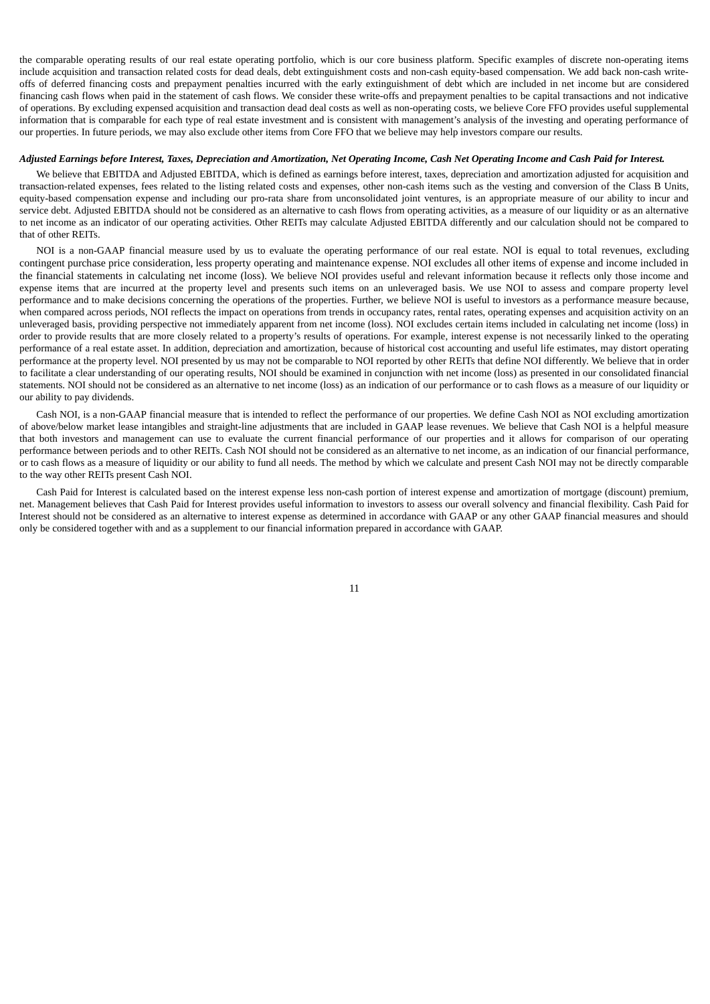the comparable operating results of our real estate operating portfolio, which is our core business platform. Specific examples of discrete non-operating items include acquisition and transaction related costs for dead deals, debt extinguishment costs and non-cash equity-based compensation. We add back non-cash writeoffs of deferred financing costs and prepayment penalties incurred with the early extinguishment of debt which are included in net income but are considered financing cash flows when paid in the statement of cash flows. We consider these write-offs and prepayment penalties to be capital transactions and not indicative of operations. By excluding expensed acquisition and transaction dead deal costs as well as non-operating costs, we believe Core FFO provides useful supplemental information that is comparable for each type of real estate investment and is consistent with management's analysis of the investing and operating performance of our properties. In future periods, we may also exclude other items from Core FFO that we believe may help investors compare our results.

#### Adjusted Earnings before Interest, Taxes, Depreciation and Amortization, Net Operating Income, Cash Net Operating Income and Cash Paid for Interest.

We believe that EBITDA and Adjusted EBITDA, which is defined as earnings before interest, taxes, depreciation and amortization adjusted for acquisition and transaction-related expenses, fees related to the listing related costs and expenses, other non-cash items such as the vesting and conversion of the Class B Units, equity-based compensation expense and including our pro-rata share from unconsolidated joint ventures, is an appropriate measure of our ability to incur and service debt. Adjusted EBITDA should not be considered as an alternative to cash flows from operating activities, as a measure of our liquidity or as an alternative to net income as an indicator of our operating activities. Other REITs may calculate Adjusted EBITDA differently and our calculation should not be compared to that of other REITs.

NOI is a non-GAAP financial measure used by us to evaluate the operating performance of our real estate. NOI is equal to total revenues, excluding contingent purchase price consideration, less property operating and maintenance expense. NOI excludes all other items of expense and income included in the financial statements in calculating net income (loss). We believe NOI provides useful and relevant information because it reflects only those income and expense items that are incurred at the property level and presents such items on an unleveraged basis. We use NOI to assess and compare property level performance and to make decisions concerning the operations of the properties. Further, we believe NOI is useful to investors as a performance measure because, when compared across periods, NOI reflects the impact on operations from trends in occupancy rates, rental rates, operating expenses and acquisition activity on an unleveraged basis, providing perspective not immediately apparent from net income (loss). NOI excludes certain items included in calculating net income (loss) in order to provide results that are more closely related to a property's results of operations. For example, interest expense is not necessarily linked to the operating performance of a real estate asset. In addition, depreciation and amortization, because of historical cost accounting and useful life estimates, may distort operating performance at the property level. NOI presented by us may not be comparable to NOI reported by other REITs that define NOI differently. We believe that in order to facilitate a clear understanding of our operating results, NOI should be examined in conjunction with net income (loss) as presented in our consolidated financial statements. NOI should not be considered as an alternative to net income (loss) as an indication of our performance or to cash flows as a measure of our liquidity or our ability to pay dividends.

Cash NOI, is a non-GAAP financial measure that is intended to reflect the performance of our properties. We define Cash NOI as NOI excluding amortization of above/below market lease intangibles and straight-line adjustments that are included in GAAP lease revenues. We believe that Cash NOI is a helpful measure that both investors and management can use to evaluate the current financial performance of our properties and it allows for comparison of our operating performance between periods and to other REITs. Cash NOI should not be considered as an alternative to net income, as an indication of our financial performance, or to cash flows as a measure of liquidity or our ability to fund all needs. The method by which we calculate and present Cash NOI may not be directly comparable to the way other REITs present Cash NOI.

Cash Paid for Interest is calculated based on the interest expense less non-cash portion of interest expense and amortization of mortgage (discount) premium, net. Management believes that Cash Paid for Interest provides useful information to investors to assess our overall solvency and financial flexibility. Cash Paid for Interest should not be considered as an alternative to interest expense as determined in accordance with GAAP or any other GAAP financial measures and should only be considered together with and as a supplement to our financial information prepared in accordance with GAAP.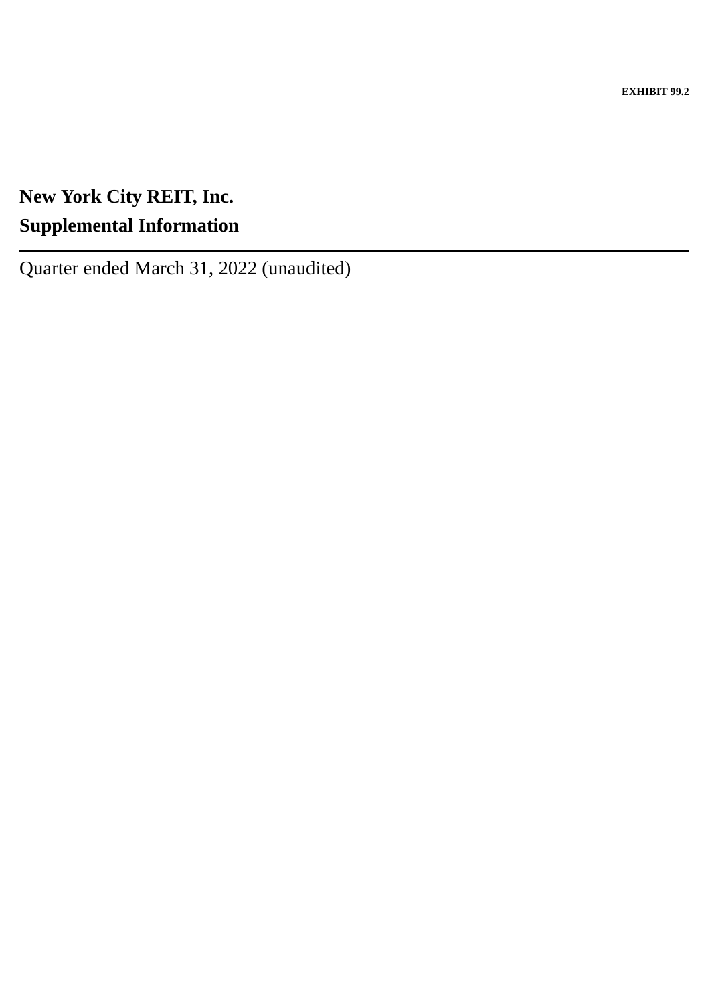**EXHIBIT 99.2**

# <span id="page-15-0"></span>**New York City REIT, Inc. Supplemental Information**

Quarter ended March 31, 2022 (unaudited)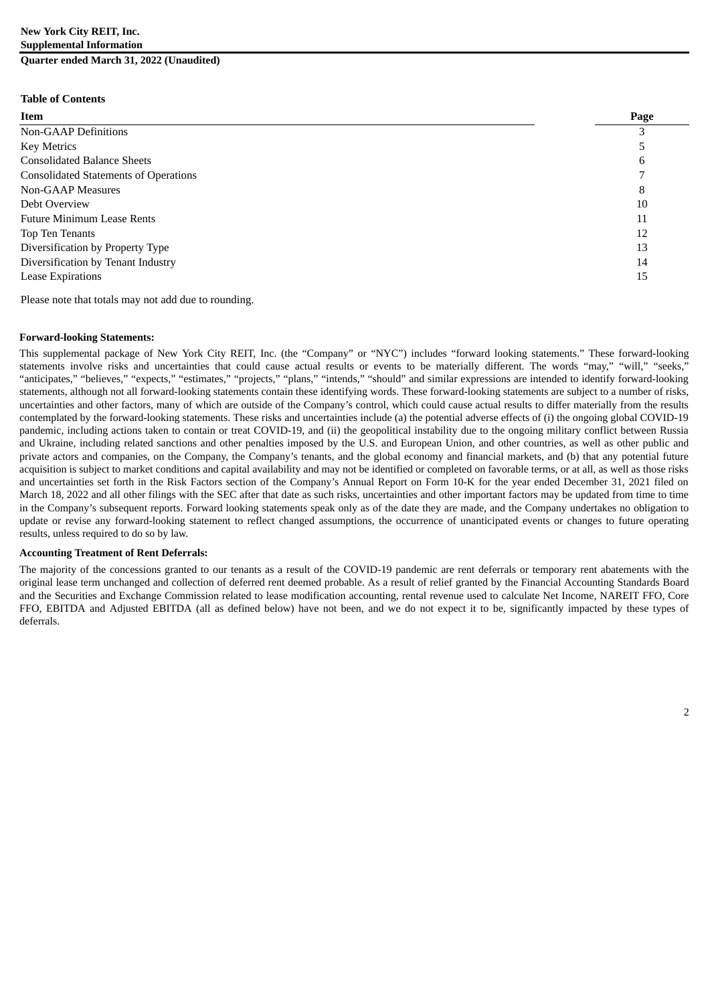### **New York City REIT, Inc. Supplemental Information Quarter ended March 31, 2022 (Unaudited)**

#### **Table of Contents**

| Item                                         | Page |
|----------------------------------------------|------|
| <b>Non-GAAP Definitions</b>                  |      |
| <b>Key Metrics</b>                           |      |
| <b>Consolidated Balance Sheets</b>           | 6    |
| <b>Consolidated Statements of Operations</b> |      |
| Non-GAAP Measures                            | 8    |
| Debt Overview                                | 10   |
| <b>Future Minimum Lease Rents</b>            | 11   |
| Top Ten Tenants                              | 12   |
| Diversification by Property Type             | 13   |
| Diversification by Tenant Industry           | 14   |
| <b>Lease Expirations</b>                     | 15   |

Please note that totals may not add due to rounding.

#### **Forward-looking Statements:**

This supplemental package of New York City REIT, Inc. (the "Company" or "NYC") includes "forward looking statements." These forward-looking statements involve risks and uncertainties that could cause actual results or events to be materially different. The words "may," "will," "seeks," "anticipates," "believes," "expects," "estimates," "projects," "plans," "intends," "should" and similar expressions are intended to identify forward-looking statements, although not all forward-looking statements contain these identifying words. These forward-looking statements are subject to a number of risks, uncertainties and other factors, many of which are outside of the Company's control, which could cause actual results to differ materially from the results contemplated by the forward-looking statements. These risks and uncertainties include (a) the potential adverse effects of (i) the ongoing global COVID-19 pandemic, including actions taken to contain or treat COVID-19, and (ii) the geopolitical instability due to the ongoing military conflict between Russia and Ukraine, including related sanctions and other penalties imposed by the U.S. and European Union, and other countries, as well as other public and private actors and companies, on the Company, the Company's tenants, and the global economy and financial markets, and (b) that any potential future acquisition is subject to market conditions and capital availability and may not be identified or completed on favorable terms, or at all, as well as those risks and uncertainties set forth in the Risk Factors section of the Company's Annual Report on Form 10-K for the year ended December 31, 2021 filed on March 18, 2022 and all other filings with the SEC after that date as such risks, uncertainties and other important factors may be updated from time to time in the Company's subsequent reports. Forward looking statements speak only as of the date they are made, and the Company undertakes no obligation to update or revise any forward-looking statement to reflect changed assumptions, the occurrence of unanticipated events or changes to future operating results, unless required to do so by law.

#### **Accounting Treatment of Rent Deferrals:**

The majority of the concessions granted to our tenants as a result of the COVID-19 pandemic are rent deferrals or temporary rent abatements with the original lease term unchanged and collection of deferred rent deemed probable. As a result of relief granted by the Financial Accounting Standards Board and the Securities and Exchange Commission related to lease modification accounting, rental revenue used to calculate Net Income, NAREIT FFO, Core FFO, EBITDA and Adjusted EBITDA (all as defined below) have not been, and we do not expect it to be, significantly impacted by these types of deferrals.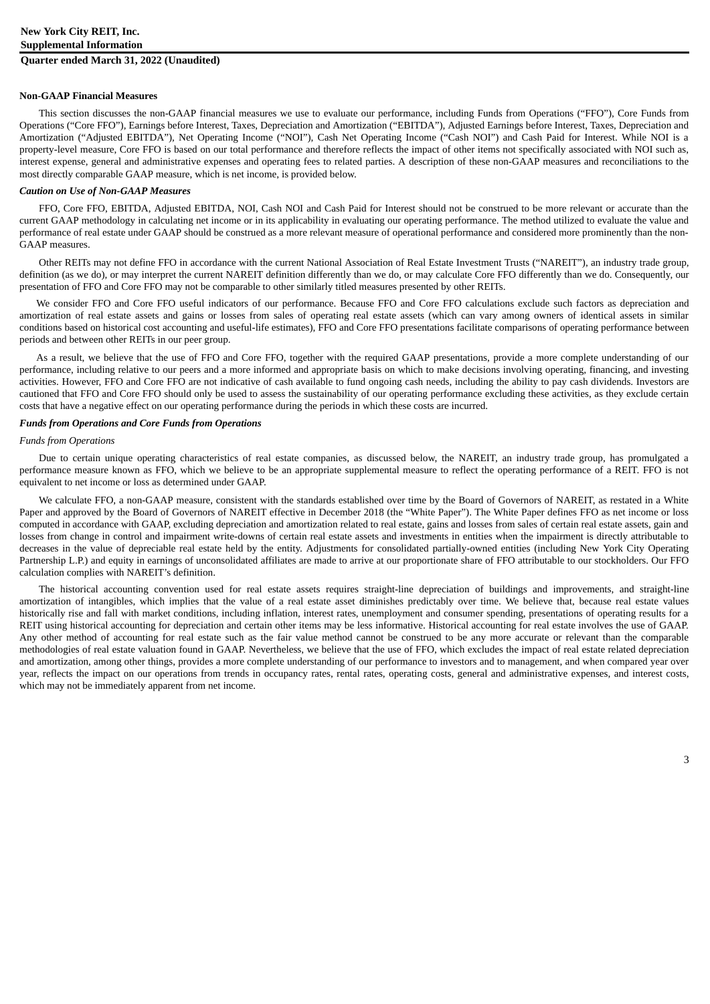#### **Non-GAAP Financial Measures**

This section discusses the non-GAAP financial measures we use to evaluate our performance, including Funds from Operations ("FFO"), Core Funds from Operations ("Core FFO"), Earnings before Interest, Taxes, Depreciation and Amortization ("EBITDA"), Adjusted Earnings before Interest, Taxes, Depreciation and Amortization ("Adjusted EBITDA"), Net Operating Income ("NOI"), Cash Net Operating Income ("Cash NOI") and Cash Paid for Interest. While NOI is a property-level measure, Core FFO is based on our total performance and therefore reflects the impact of other items not specifically associated with NOI such as, interest expense, general and administrative expenses and operating fees to related parties. A description of these non-GAAP measures and reconciliations to the most directly comparable GAAP measure, which is net income, is provided below.

#### *Caution on Use of Non-GAAP Measures*

FFO, Core FFO, EBITDA, Adjusted EBITDA, NOI, Cash NOI and Cash Paid for Interest should not be construed to be more relevant or accurate than the current GAAP methodology in calculating net income or in its applicability in evaluating our operating performance. The method utilized to evaluate the value and performance of real estate under GAAP should be construed as a more relevant measure of operational performance and considered more prominently than the non-GAAP measures.

Other REITs may not define FFO in accordance with the current National Association of Real Estate Investment Trusts ("NAREIT"), an industry trade group, definition (as we do), or may interpret the current NAREIT definition differently than we do, or may calculate Core FFO differently than we do. Consequently, our presentation of FFO and Core FFO may not be comparable to other similarly titled measures presented by other REITs.

We consider FFO and Core FFO useful indicators of our performance. Because FFO and Core FFO calculations exclude such factors as depreciation and amortization of real estate assets and gains or losses from sales of operating real estate assets (which can vary among owners of identical assets in similar conditions based on historical cost accounting and useful-life estimates), FFO and Core FFO presentations facilitate comparisons of operating performance between periods and between other REITs in our peer group.

As a result, we believe that the use of FFO and Core FFO, together with the required GAAP presentations, provide a more complete understanding of our performance, including relative to our peers and a more informed and appropriate basis on which to make decisions involving operating, financing, and investing activities. However, FFO and Core FFO are not indicative of cash available to fund ongoing cash needs, including the ability to pay cash dividends. Investors are cautioned that FFO and Core FFO should only be used to assess the sustainability of our operating performance excluding these activities, as they exclude certain costs that have a negative effect on our operating performance during the periods in which these costs are incurred.

#### *Funds from Operations and Core Funds from Operations*

#### *Funds from Operations*

Due to certain unique operating characteristics of real estate companies, as discussed below, the NAREIT, an industry trade group, has promulgated a performance measure known as FFO, which we believe to be an appropriate supplemental measure to reflect the operating performance of a REIT. FFO is not equivalent to net income or loss as determined under GAAP.

We calculate FFO, a non-GAAP measure, consistent with the standards established over time by the Board of Governors of NAREIT, as restated in a White Paper and approved by the Board of Governors of NAREIT effective in December 2018 (the "White Paper"). The White Paper defines FFO as net income or loss computed in accordance with GAAP, excluding depreciation and amortization related to real estate, gains and losses from sales of certain real estate assets, gain and losses from change in control and impairment write-downs of certain real estate assets and investments in entities when the impairment is directly attributable to decreases in the value of depreciable real estate held by the entity. Adjustments for consolidated partially-owned entities (including New York City Operating Partnership L.P.) and equity in earnings of unconsolidated affiliates are made to arrive at our proportionate share of FFO attributable to our stockholders. Our FFO calculation complies with NAREIT's definition.

The historical accounting convention used for real estate assets requires straight-line depreciation of buildings and improvements, and straight-line amortization of intangibles, which implies that the value of a real estate asset diminishes predictably over time. We believe that, because real estate values historically rise and fall with market conditions, including inflation, interest rates, unemployment and consumer spending, presentations of operating results for a REIT using historical accounting for depreciation and certain other items may be less informative. Historical accounting for real estate involves the use of GAAP. Any other method of accounting for real estate such as the fair value method cannot be construed to be any more accurate or relevant than the comparable methodologies of real estate valuation found in GAAP. Nevertheless, we believe that the use of FFO, which excludes the impact of real estate related depreciation and amortization, among other things, provides a more complete understanding of our performance to investors and to management, and when compared year over year, reflects the impact on our operations from trends in occupancy rates, rental rates, operating costs, general and administrative expenses, and interest costs, which may not be immediately apparent from net income.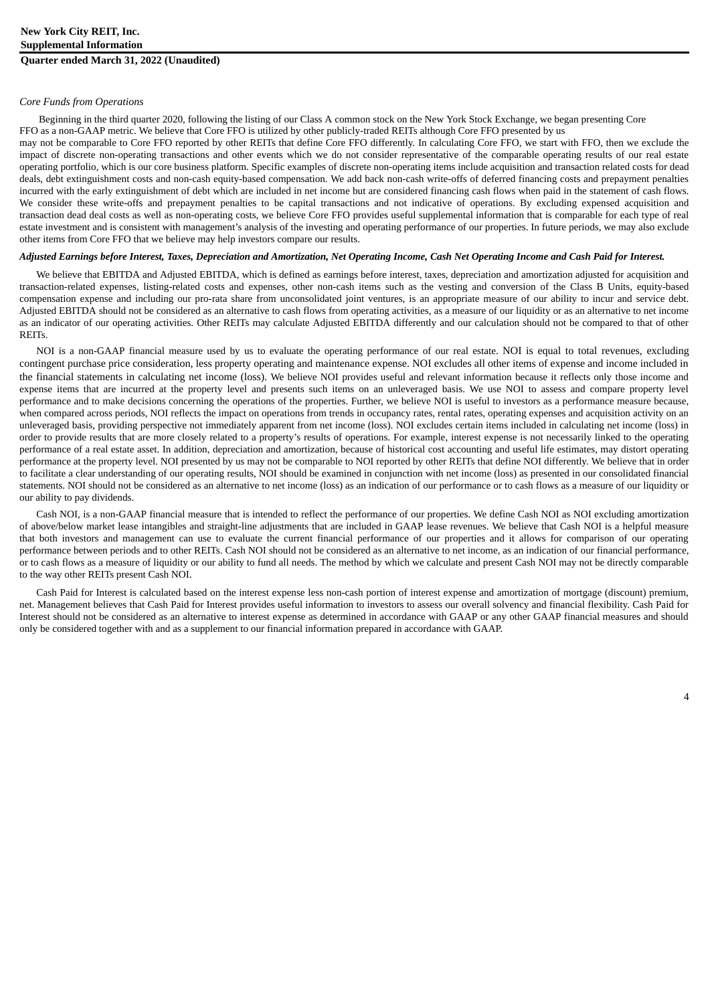#### *Core Funds from Operations*

Beginning in the third quarter 2020, following the listing of our Class A common stock on the New York Stock Exchange, we began presenting Core FFO as a non-GAAP metric. We believe that Core FFO is utilized by other publicly-traded REITs although Core FFO presented by us

may not be comparable to Core FFO reported by other REITs that define Core FFO differently. In calculating Core FFO, we start with FFO, then we exclude the impact of discrete non-operating transactions and other events which we do not consider representative of the comparable operating results of our real estate operating portfolio, which is our core business platform. Specific examples of discrete non-operating items include acquisition and transaction related costs for dead deals, debt extinguishment costs and non-cash equity-based compensation. We add back non-cash write-offs of deferred financing costs and prepayment penalties incurred with the early extinguishment of debt which are included in net income but are considered financing cash flows when paid in the statement of cash flows. We consider these write-offs and prepayment penalties to be capital transactions and not indicative of operations. By excluding expensed acquisition and transaction dead deal costs as well as non-operating costs, we believe Core FFO provides useful supplemental information that is comparable for each type of real estate investment and is consistent with management's analysis of the investing and operating performance of our properties. In future periods, we may also exclude other items from Core FFO that we believe may help investors compare our results.

#### Adjusted Earnings before Interest, Taxes, Depreciation and Amortization, Net Operating Income, Cash Net Operating Income and Cash Paid for Interest.

We believe that EBITDA and Adjusted EBITDA, which is defined as earnings before interest, taxes, depreciation and amortization adjusted for acquisition and transaction-related expenses, listing-related costs and expenses, other non-cash items such as the vesting and conversion of the Class B Units, equity-based compensation expense and including our pro-rata share from unconsolidated joint ventures, is an appropriate measure of our ability to incur and service debt. Adjusted EBITDA should not be considered as an alternative to cash flows from operating activities, as a measure of our liquidity or as an alternative to net income as an indicator of our operating activities. Other REITs may calculate Adjusted EBITDA differently and our calculation should not be compared to that of other **REITs** 

NOI is a non-GAAP financial measure used by us to evaluate the operating performance of our real estate. NOI is equal to total revenues, excluding contingent purchase price consideration, less property operating and maintenance expense. NOI excludes all other items of expense and income included in the financial statements in calculating net income (loss). We believe NOI provides useful and relevant information because it reflects only those income and expense items that are incurred at the property level and presents such items on an unleveraged basis. We use NOI to assess and compare property level performance and to make decisions concerning the operations of the properties. Further, we believe NOI is useful to investors as a performance measure because, when compared across periods, NOI reflects the impact on operations from trends in occupancy rates, rental rates, operating expenses and acquisition activity on an unleveraged basis, providing perspective not immediately apparent from net income (loss). NOI excludes certain items included in calculating net income (loss) in order to provide results that are more closely related to a property's results of operations. For example, interest expense is not necessarily linked to the operating performance of a real estate asset. In addition, depreciation and amortization, because of historical cost accounting and useful life estimates, may distort operating performance at the property level. NOI presented by us may not be comparable to NOI reported by other REITs that define NOI differently. We believe that in order to facilitate a clear understanding of our operating results, NOI should be examined in conjunction with net income (loss) as presented in our consolidated financial statements. NOI should not be considered as an alternative to net income (loss) as an indication of our performance or to cash flows as a measure of our liquidity or our ability to pay dividends.

Cash NOI, is a non-GAAP financial measure that is intended to reflect the performance of our properties. We define Cash NOI as NOI excluding amortization of above/below market lease intangibles and straight-line adjustments that are included in GAAP lease revenues. We believe that Cash NOI is a helpful measure that both investors and management can use to evaluate the current financial performance of our properties and it allows for comparison of our operating performance between periods and to other REITs. Cash NOI should not be considered as an alternative to net income, as an indication of our financial performance, or to cash flows as a measure of liquidity or our ability to fund all needs. The method by which we calculate and present Cash NOI may not be directly comparable to the way other REITs present Cash NOI.

Cash Paid for Interest is calculated based on the interest expense less non-cash portion of interest expense and amortization of mortgage (discount) premium, net. Management believes that Cash Paid for Interest provides useful information to investors to assess our overall solvency and financial flexibility. Cash Paid for Interest should not be considered as an alternative to interest expense as determined in accordance with GAAP or any other GAAP financial measures and should only be considered together with and as a supplement to our financial information prepared in accordance with GAAP.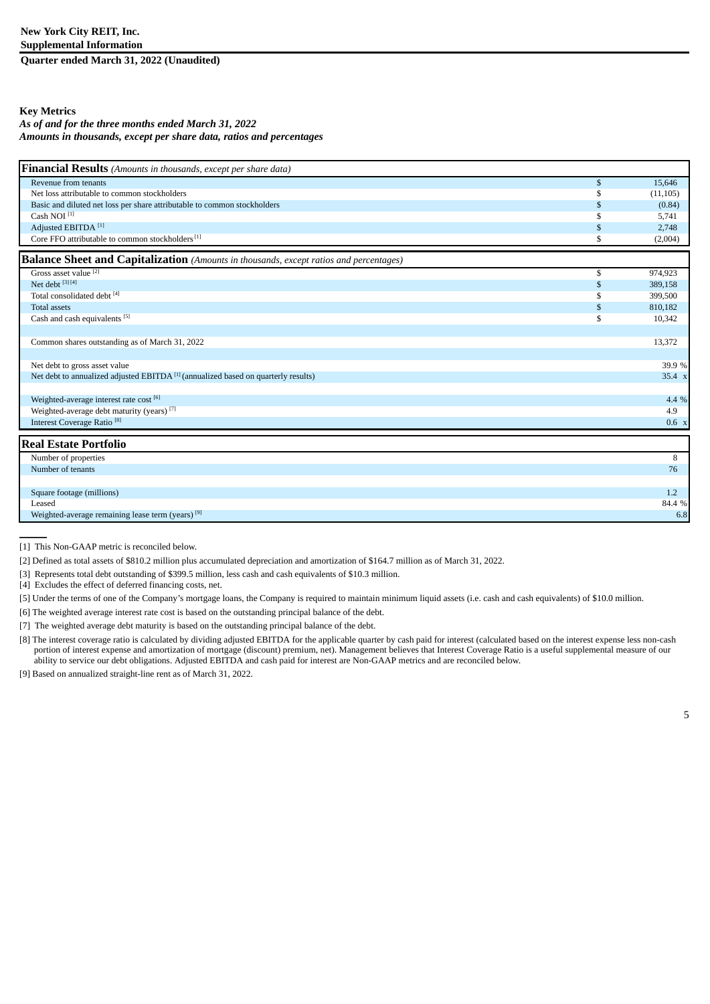**Quarter ended March 31, 2022 (Unaudited)**

### **Key Metrics**

#### *As of and for the three months ended March 31, 2022 Amounts in thousands, except per share data, ratios and percentages*

| Financial Results (Amounts in thousands, except per share data)                               |              |           |
|-----------------------------------------------------------------------------------------------|--------------|-----------|
| Revenue from tenants                                                                          | $\mathbb{S}$ | 15,646    |
| Net loss attributable to common stockholders                                                  | £.           | (11, 105) |
| Basic and diluted net loss per share attributable to common stockholders                      | \$           | (0.84)    |
| Cash NOI <sup>[1]</sup>                                                                       |              | 5,741     |
| Adjusted EBITDA <sup>[1]</sup>                                                                | \$           | 2,748     |
| Core FFO attributable to common stockholders [1]                                              | S            | (2,004)   |
| <b>Balance Sheet and Capitalization</b> (Amounts in thousands, except ratios and percentages) |              |           |
| Gross asset value [2]                                                                         | \$           | 974,923   |
| Net debt [3] [4]                                                                              | \$           | 389,158   |
| Total consolidated debt [4]                                                                   | £.           | 399,500   |
| <b>Total assets</b>                                                                           | \$           | 810,182   |
| Cash and cash equivalents [5]                                                                 | £.           | 10,342    |
|                                                                                               |              |           |
| Common shares outstanding as of March 31, 2022                                                |              | 13,372    |
|                                                                                               |              |           |
| Net debt to gross asset value                                                                 |              | 39.9%     |
| Net debt to annualized adjusted EBITDA <sup>[1]</sup> (annualized based on quarterly results) |              | 35.4 x    |
|                                                                                               |              |           |
| Weighted-average interest rate cost [6]                                                       |              | 4.4 %     |
| Weighted-average debt maturity (years) <sup>[7]</sup>                                         |              | 4.9       |
| Interest Coverage Ratio <sup>[8]</sup>                                                        |              | 0.6 x     |
| <b>Real Estate Portfolio</b>                                                                  |              |           |
| Number of properties                                                                          |              | 8         |
| Number of tenants                                                                             |              | 76        |
|                                                                                               |              |           |
| Square footage (millions)                                                                     |              | 1.2       |
| Leased                                                                                        |              | 84.4 %    |
| Weighted-average remaining lease term (years) <sup>[9]</sup>                                  |              | 6.8       |

[1] This Non-GAAP metric is reconciled below.

 $\overline{\phantom{a}}$ 

[2] Defined as total assets of \$810.2 million plus accumulated depreciation and amortization of \$164.7 million as of March 31, 2022.

[3] Represents total debt outstanding of \$399.5 million, less cash and cash equivalents of \$10.3 million.

[4] Excludes the effect of deferred financing costs, net.

[5] Under the terms of one of the Company's mortgage loans, the Company is required to maintain minimum liquid assets (i.e. cash and cash equivalents) of \$10.0 million.

[6] The weighted average interest rate cost is based on the outstanding principal balance of the debt.

[7] The weighted average debt maturity is based on the outstanding principal balance of the debt.

[8] The interest coverage ratio is calculated by dividing adjusted EBITDA for the applicable quarter by cash paid for interest (calculated based on the interest expense less non-cash portion of interest expense and amortization of mortgage (discount) premium, net). Management believes that Interest Coverage Ratio is a useful supplemental measure of our ability to service our debt obligations. Adjusted EBITDA and cash paid for interest are Non-GAAP metrics and are reconciled below.

[9] Based on annualized straight-line rent as of March 31, 2022.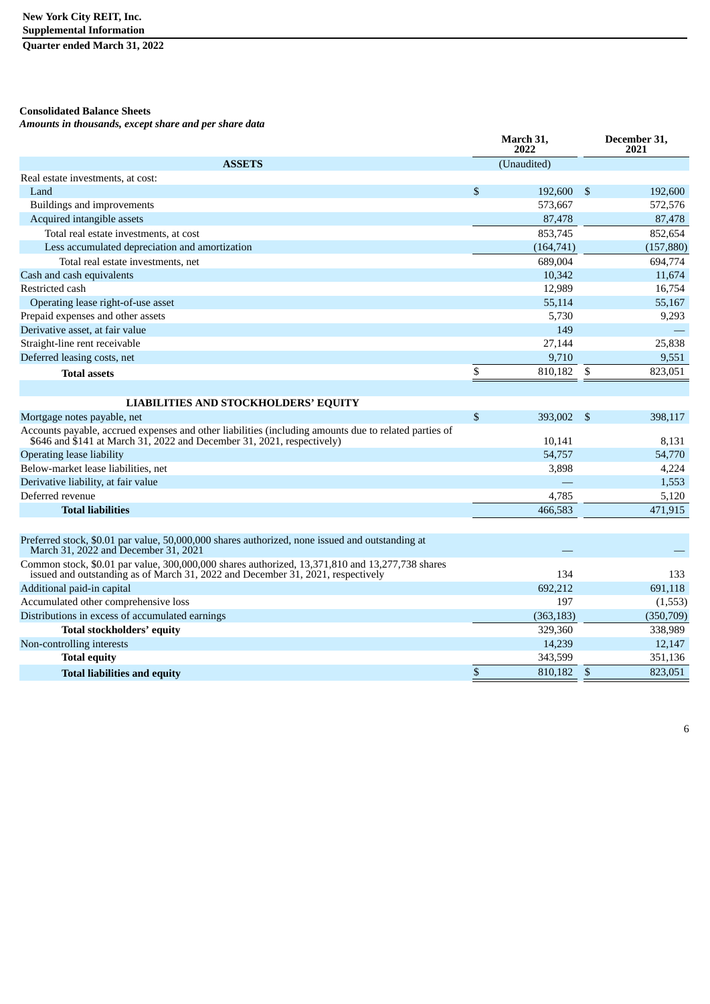**Quarter ended March 31, 2022**

### **Consolidated Balance Sheets**

*Amounts in thousands, except share and per share data*

|                                                                                                                                                                                    |              | March 31,<br>2022 |                | December 31,<br>2021 |
|------------------------------------------------------------------------------------------------------------------------------------------------------------------------------------|--------------|-------------------|----------------|----------------------|
| <b>ASSETS</b>                                                                                                                                                                      |              | (Unaudited)       |                |                      |
| Real estate investments, at cost:                                                                                                                                                  |              |                   |                |                      |
| Land                                                                                                                                                                               | $\mathbb{S}$ | 192,600           | \$             | 192,600              |
| Buildings and improvements                                                                                                                                                         |              | 573,667           |                | 572,576              |
| Acquired intangible assets                                                                                                                                                         |              | 87,478            |                | 87,478               |
| Total real estate investments, at cost                                                                                                                                             |              | 853,745           |                | 852,654              |
| Less accumulated depreciation and amortization                                                                                                                                     |              | (164, 741)        |                | (157, 880)           |
| Total real estate investments, net                                                                                                                                                 |              | 689,004           |                | 694,774              |
| Cash and cash equivalents                                                                                                                                                          |              | 10,342            |                | 11,674               |
| Restricted cash                                                                                                                                                                    |              | 12,989            |                | 16,754               |
| Operating lease right-of-use asset                                                                                                                                                 |              | 55,114            |                | 55,167               |
| Prepaid expenses and other assets                                                                                                                                                  |              | 5,730             |                | 9,293                |
| Derivative asset, at fair value                                                                                                                                                    |              | 149               |                |                      |
| Straight-line rent receivable                                                                                                                                                      |              | 27,144            |                | 25,838               |
| Deferred leasing costs, net                                                                                                                                                        |              | 9,710             |                | 9,551                |
| <b>Total assets</b>                                                                                                                                                                | \$           | 810,182           | \$             | 823,051              |
|                                                                                                                                                                                    |              |                   |                |                      |
| <b>LIABILITIES AND STOCKHOLDERS' EQUITY</b>                                                                                                                                        |              |                   |                |                      |
| Mortgage notes payable, net                                                                                                                                                        | $\mathbb{S}$ | 393,002           | -\$            | 398,117              |
| Accounts payable, accrued expenses and other liabilities (including amounts due to related parties of<br>\$646 and \$141 at March 31, 2022 and December 31, 2021, respectively)    |              | 10,141            |                | 8,131                |
| <b>Operating lease liability</b>                                                                                                                                                   |              | 54,757            |                | 54,770               |
| Below-market lease liabilities, net                                                                                                                                                |              | 3,898             |                | 4,224                |
| Derivative liability, at fair value                                                                                                                                                |              |                   |                | 1,553                |
| Deferred revenue                                                                                                                                                                   |              | 4,785             |                | 5,120                |
| <b>Total liabilities</b>                                                                                                                                                           |              | 466.583           |                | 471,915              |
| Preferred stock, \$0.01 par value, 50,000,000 shares authorized, none issued and outstanding at<br>March 31, 2022 and December 31, 2021                                            |              |                   |                |                      |
| Common stock, \$0.01 par value, 300,000,000 shares authorized, 13,371,810 and 13,277,738 shares<br>issued and outstanding as of March 31, 2022 and December 31, 2021, respectively |              | 134               |                | 133                  |
| Additional paid-in capital                                                                                                                                                         |              | 692,212           |                | 691,118              |
| Accumulated other comprehensive loss                                                                                                                                               |              | 197               |                | (1,553)              |
| Distributions in excess of accumulated earnings                                                                                                                                    |              | (363, 183)        |                | (350, 709)           |
| <b>Total stockholders' equity</b>                                                                                                                                                  |              | 329,360           |                | 338,989              |
| Non-controlling interests                                                                                                                                                          |              | 14,239            |                | 12,147               |
| <b>Total equity</b>                                                                                                                                                                |              | 343,599           |                | 351,136              |
| <b>Total liabilities and equity</b>                                                                                                                                                | \$           | 810,182           | $\mathfrak{s}$ | 823,051              |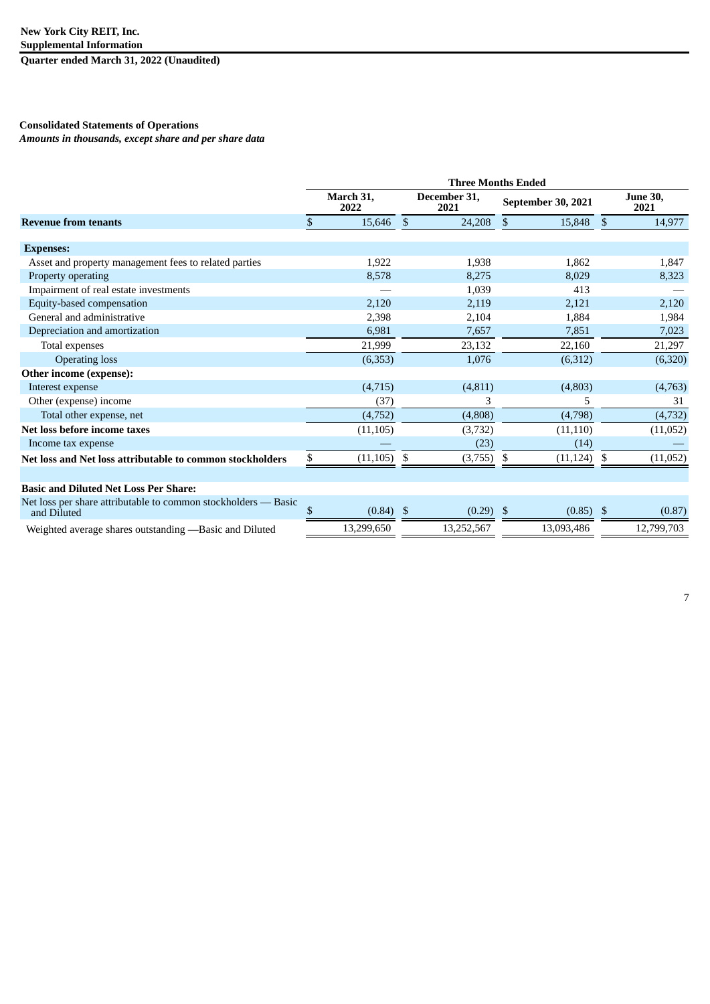**Quarter ended March 31, 2022 (Unaudited)**

### **Consolidated Statements of Operations**

*Amounts in thousands, except share and per share data*

|                                                           | <b>Three Months Ended</b> |                   |              |                      |                         |    |                         |
|-----------------------------------------------------------|---------------------------|-------------------|--------------|----------------------|-------------------------|----|-------------------------|
|                                                           |                           | March 31,<br>2022 |              | December 31,<br>2021 | September 30, 2021      |    | <b>June 30,</b><br>2021 |
| <b>Revenue from tenants</b>                               | \$                        | 15,646            | $\mathbb{S}$ | 24,208               | 15,848<br><sup>\$</sup> | \$ | 14,977                  |
|                                                           |                           |                   |              |                      |                         |    |                         |
| <b>Expenses:</b>                                          |                           |                   |              |                      |                         |    |                         |
| Asset and property management fees to related parties     |                           | 1,922             |              | 1,938                | 1,862                   |    | 1,847                   |
| Property operating                                        |                           | 8,578             |              | 8,275                | 8,029                   |    | 8,323                   |
| Impairment of real estate investments                     |                           |                   |              | 1,039                | 413                     |    |                         |
| Equity-based compensation                                 |                           | 2,120             |              | 2,119                | 2,121                   |    | 2,120                   |
| General and administrative                                |                           | 2,398             |              | 2,104                | 1,884                   |    | 1,984                   |
| Depreciation and amortization                             |                           | 6,981             |              | 7,657                | 7,851                   |    | 7,023                   |
| Total expenses                                            |                           | 21,999            |              | 23,132               | 22,160                  |    | 21,297                  |
| <b>Operating loss</b>                                     |                           | (6,353)           |              | 1,076                | (6,312)                 |    | (6,320)                 |
| Other income (expense):                                   |                           |                   |              |                      |                         |    |                         |
| Interest expense                                          |                           | (4,715)           |              | (4,811)              | (4,803)                 |    | (4,763)                 |
| Other (expense) income                                    |                           | (37)              |              | 3                    | 5                       |    | 31                      |
| Total other expense, net                                  |                           | (4,752)           |              | (4,808)              | (4,798)                 |    | (4,732)                 |
| Net loss before income taxes                              |                           | (11, 105)         |              | (3,732)              | (11, 110)               |    | (11,052)                |
| Income tax expense                                        |                           |                   |              | (23)                 | (14)                    |    |                         |
| Net loss and Net loss attributable to common stockholders | \$                        | (11, 105)         | \$           | (3,755)              | \$<br>(11, 124)         | \$ | (11,052)                |
|                                                           |                           |                   |              |                      |                         |    |                         |
| <b>Basic and Diluted Net Loss Per Share:</b>              |                           |                   |              |                      |                         |    |                         |

| Net loss per share attributable to common stockholders — Basic<br>and Diluted | (0.84)     | (0.29)    | (0.85)     | (0.87)     |
|-------------------------------------------------------------------------------|------------|-----------|------------|------------|
| Weighted average shares outstanding — Basic and Diluted                       | 13.299.650 | 3.252.567 | 13.093.486 | 12,799,703 |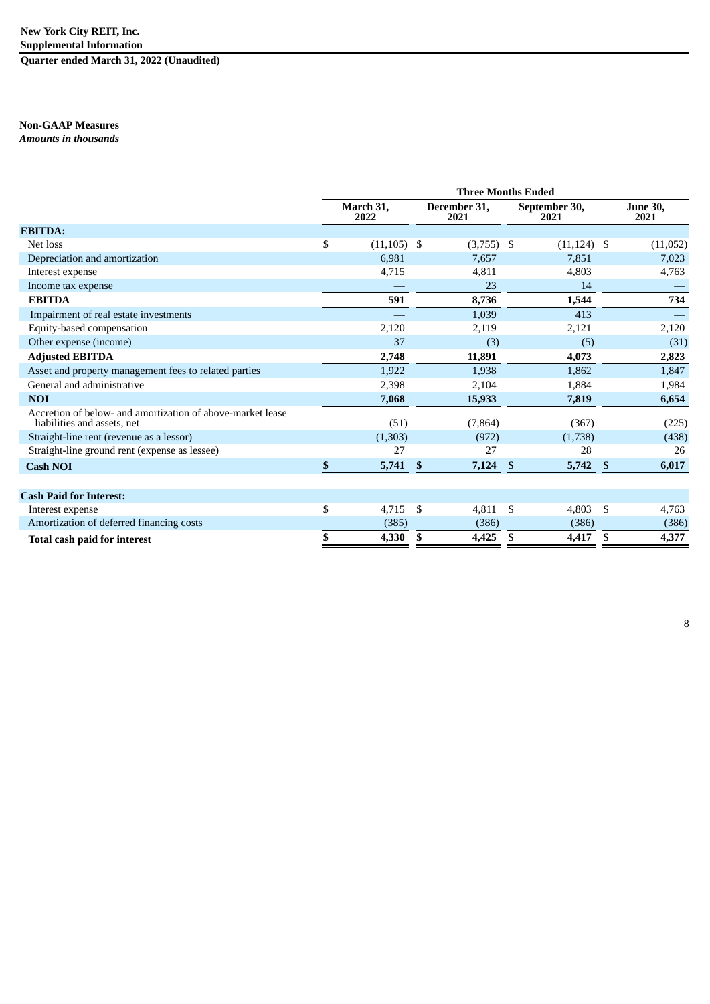### **New York City REIT, Inc. Supplemental Information**

**Quarter ended March 31, 2022 (Unaudited)**

## **Non-GAAP Measures**

*Amounts in thousands*

|                                                                                           | <b>Three Months Ended</b> |               |                      |    |                       |    |                         |  |  |
|-------------------------------------------------------------------------------------------|---------------------------|---------------|----------------------|----|-----------------------|----|-------------------------|--|--|
|                                                                                           | March 31,<br>2022         |               | December 31,<br>2021 |    | September 30,<br>2021 |    | <b>June 30,</b><br>2021 |  |  |
| <b>EBITDA:</b>                                                                            |                           |               |                      |    |                       |    |                         |  |  |
| Net loss                                                                                  | \$<br>$(11, 105)$ \$      |               | $(3,755)$ \$         |    | $(11, 124)$ \$        |    | (11,052)                |  |  |
| Depreciation and amortization                                                             | 6,981                     |               | 7,657                |    | 7,851                 |    | 7,023                   |  |  |
| Interest expense                                                                          | 4,715                     |               | 4,811                |    | 4,803                 |    | 4,763                   |  |  |
| Income tax expense                                                                        |                           |               | 23                   |    | 14                    |    |                         |  |  |
| <b>EBITDA</b>                                                                             | 591                       |               | 8,736                |    | 1,544                 |    | 734                     |  |  |
| Impairment of real estate investments                                                     |                           |               | 1,039                |    | 413                   |    |                         |  |  |
| Equity-based compensation                                                                 | 2,120                     |               | 2,119                |    | 2,121                 |    | 2,120                   |  |  |
| Other expense (income)                                                                    | 37                        |               | (3)                  |    | (5)                   |    | (31)                    |  |  |
| <b>Adjusted EBITDA</b>                                                                    | 2,748                     |               | 11,891               |    | 4,073                 |    | 2,823                   |  |  |
| Asset and property management fees to related parties                                     | 1,922                     |               | 1,938                |    | 1,862                 |    | 1,847                   |  |  |
| General and administrative                                                                | 2,398                     |               | 2,104                |    | 1,884                 |    | 1,984                   |  |  |
| <b>NOI</b>                                                                                | 7,068                     |               | 15,933               |    | 7,819                 |    | 6,654                   |  |  |
| Accretion of below- and amortization of above-market lease<br>liabilities and assets, net | (51)                      |               | (7, 864)             |    | (367)                 |    | (225)                   |  |  |
| Straight-line rent (revenue as a lessor)                                                  | (1,303)                   |               | (972)                |    | (1,738)               |    | (438)                   |  |  |
| Straight-line ground rent (expense as lessee)                                             | 27                        |               | 27                   |    | 28                    |    | 26                      |  |  |
| <b>Cash NOI</b>                                                                           | \$<br>5,741               | -S            | 7,124                | -8 | 5,742                 | -S | 6,017                   |  |  |
|                                                                                           |                           |               |                      |    |                       |    |                         |  |  |
| <b>Cash Paid for Interest:</b>                                                            |                           |               |                      |    |                       |    |                         |  |  |
| Interest expense                                                                          | \$<br>4,715               | <sup>\$</sup> | 4,811                | \$ | 4,803                 | \$ | 4,763                   |  |  |
| Amortization of deferred financing costs                                                  | (385)                     |               | (386)                |    | (386)                 |    | (386)                   |  |  |
| Total cash paid for interest                                                              | 4,330                     | \$            | 4,425                | \$ | 4,417                 | \$ | 4,377                   |  |  |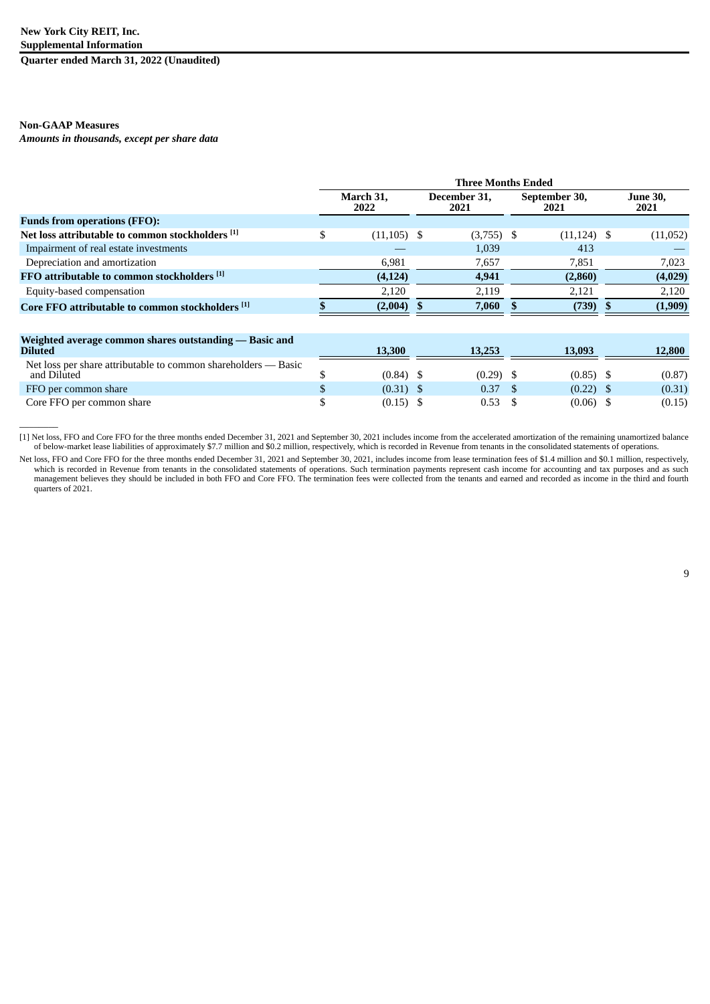**Quarter ended March 31, 2022 (Unaudited)**

### **Non-GAAP Measures**

 $\overline{\phantom{a}}$ 

*Amounts in thousands, except per share data*

|                                                  | <b>Three Months Ended</b> |                      |              |                       |                |  |                         |  |
|--------------------------------------------------|---------------------------|----------------------|--------------|-----------------------|----------------|--|-------------------------|--|
|                                                  | March 31,<br>2022         | December 31,<br>2021 |              | September 30,<br>2021 |                |  | <b>June 30,</b><br>2021 |  |
| <b>Funds from operations (FFO):</b>              |                           |                      |              |                       |                |  |                         |  |
| Net loss attributable to common stockholders [1] | $(11, 105)$ \$            |                      | $(3,755)$ \$ |                       | $(11, 124)$ \$ |  | (11,052)                |  |
| Impairment of real estate investments            |                           |                      | 1,039        |                       | 413            |  |                         |  |
| Depreciation and amortization                    | 6,981                     |                      | 7,657        |                       | 7,851          |  | 7,023                   |  |
| FFO attributable to common stockholders [1]      | (4, 124)                  |                      | 4,941        |                       | (2,860)        |  | (4,029)                 |  |
| Equity-based compensation                        | 2,120                     |                      | 2,119        |                       | 2,121          |  | 2,120                   |  |
| Core FFO attributable to common stockholders [1] | $(2,004)$ \$              |                      | 7,060        |                       | $(739)$ \$     |  | (1,909)                 |  |
|                                                  |                           |                      |              |                       |                |  |                         |  |

| Weighted average common shares outstanding — Basic and<br><b>Diluted</b>      | 13,300      | 13.253 | 13.093      | 12,800 |
|-------------------------------------------------------------------------------|-------------|--------|-------------|--------|
| Net loss per share attributable to common shareholders — Basic<br>and Diluted | (0.84) \$   | (0.29) | $(0.85)$ \$ | (0.87) |
| FFO per common share                                                          | $(0.31)$ \$ | 0.37   | $(0.22)$ \$ | (0.31) |
| Core FFO per common share                                                     | $(0.15)$ \$ | 0.53   | $(0.06)$ \$ | (0.15) |

[1] Net loss, FFO and Core FFO for the three months ended December 31, 2021 and September 30, 2021 includes income from the accelerated amortization of the remaining unamortized balance of below-market lease liabilities of approximately \$7.7 million and \$0.2 million, respectively, which is recorded in Revenue from tenants in the consolidated statements of operations.

Net loss, FFO and Core FFO for the three months ended December 31, 2021 and September 30, 2021, includes income from lease termination fees of \$1.4 million and \$0.1 million, respectively, which is recorded in Revenue from tenants in the consolidated statements of operations. Such termination payments represent cash income for accounting and tax purposes and as such management believes they should be included in both FFO and Core FFO. The termination fees were collected from the tenants and earned and recorded as income in the third and fourth quarters of 2021.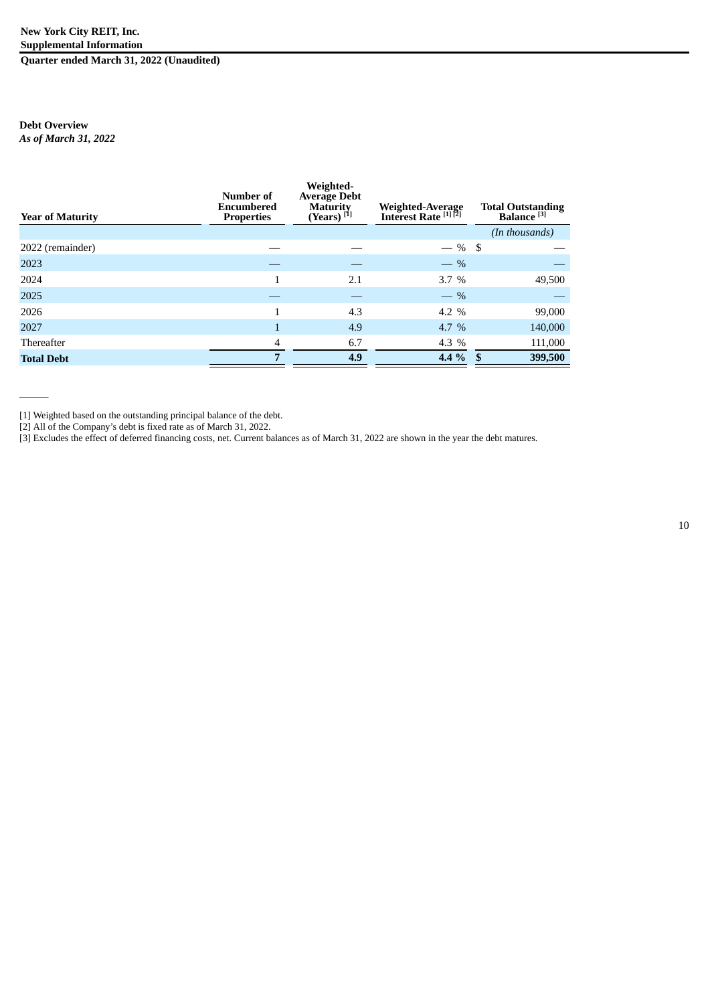### **New York City REIT, Inc. Supplemental Information Quarter ended March 31, 2022 (Unaudited)**

### **Debt Overview** *As of March 31, 2022*

 $\overline{\phantom{a}}$ 

| <b>Year of Maturity</b> | Number of<br><b>Encumbered</b><br><b>Properties</b> | Weighted-<br><b>Average Debt</b><br><b>Maturity</b><br>(Years) $[1]$ | Weighted-Average<br>Interest Rate [1][2] | <b>Total Outstanding</b><br>Balance <sup>[3]</sup> |
|-------------------------|-----------------------------------------------------|----------------------------------------------------------------------|------------------------------------------|----------------------------------------------------|
|                         |                                                     |                                                                      |                                          | (In thousands)                                     |
| 2022 (remainder)        |                                                     |                                                                      | $-$ % \$                                 |                                                    |
| 2023                    |                                                     |                                                                      | $-$ %                                    |                                                    |
| 2024                    | 1                                                   | 2.1                                                                  | 3.7%                                     | 49,500                                             |
| 2025                    |                                                     |                                                                      | $-$ %                                    |                                                    |
| 2026                    |                                                     | 4.3                                                                  | 4.2 $%$                                  | 99,000                                             |
| 2027                    |                                                     | 4.9                                                                  | 4.7 $%$                                  | 140,000                                            |
| Thereafter              | $\overline{\mathcal{A}}$                            | 6.7                                                                  | 4.3 %                                    | 111,000                                            |
| <b>Total Debt</b>       | 7                                                   | 4.9                                                                  | 4.4 $%$                                  | 399,500<br>- \$                                    |
|                         |                                                     |                                                                      |                                          |                                                    |

[1] Weighted based on the outstanding principal balance of the debt.

[2] All of the Company's debt is fixed rate as of March 31, 2022.

[3] Excludes the effect of deferred financing costs, net. Current balances as of March 31, 2022 are shown in the year the debt matures.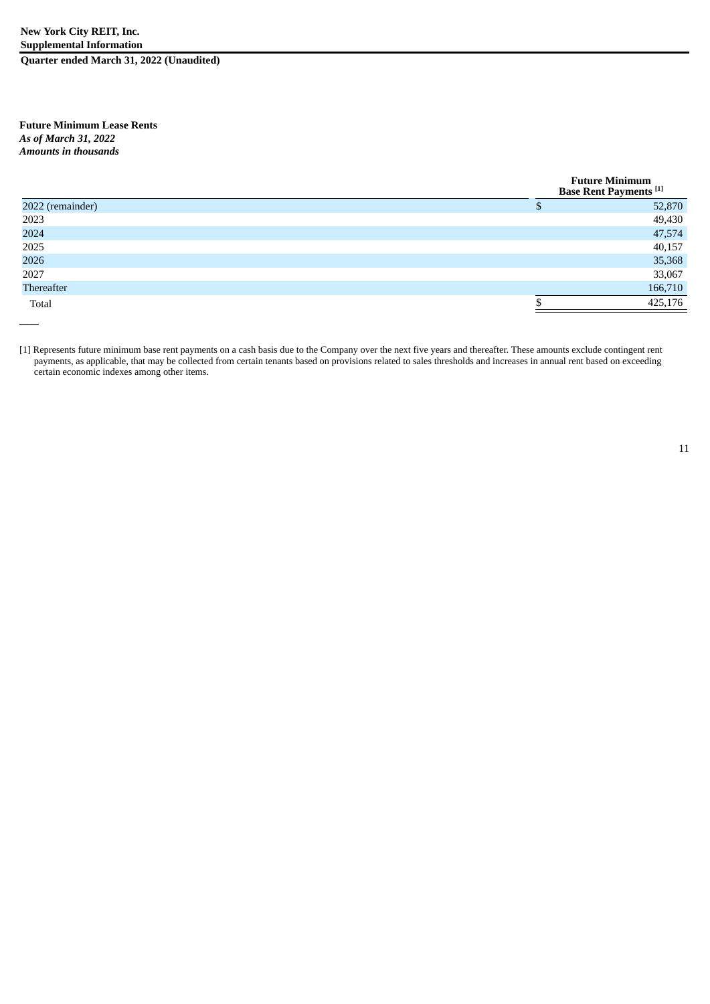**Future Minimum Lease Rents** *As of March 31, 2022 Amounts in thousands*

*——*

|                  | <b>Future Minimum</b><br><b>Base Rent Payments</b> <sup>[1]</sup> |  |  |
|------------------|-------------------------------------------------------------------|--|--|
| 2022 (remainder) | 52,870                                                            |  |  |
| 2023             | 49,430                                                            |  |  |
| 2024             | 47,574                                                            |  |  |
| 2025             | 40,157                                                            |  |  |
| 2026             | 35,368                                                            |  |  |
| 2027             | 33,067                                                            |  |  |
| Thereafter       | 166,710                                                           |  |  |
| Total            | 425,176                                                           |  |  |

[1] Represents future minimum base rent payments on a cash basis due to the Company over the next five years and thereafter. These amounts exclude contingent rent payments, as applicable, that may be collected from certain tenants based on provisions related to sales thresholds and increases in annual rent based on exceeding certain economic indexes among other items.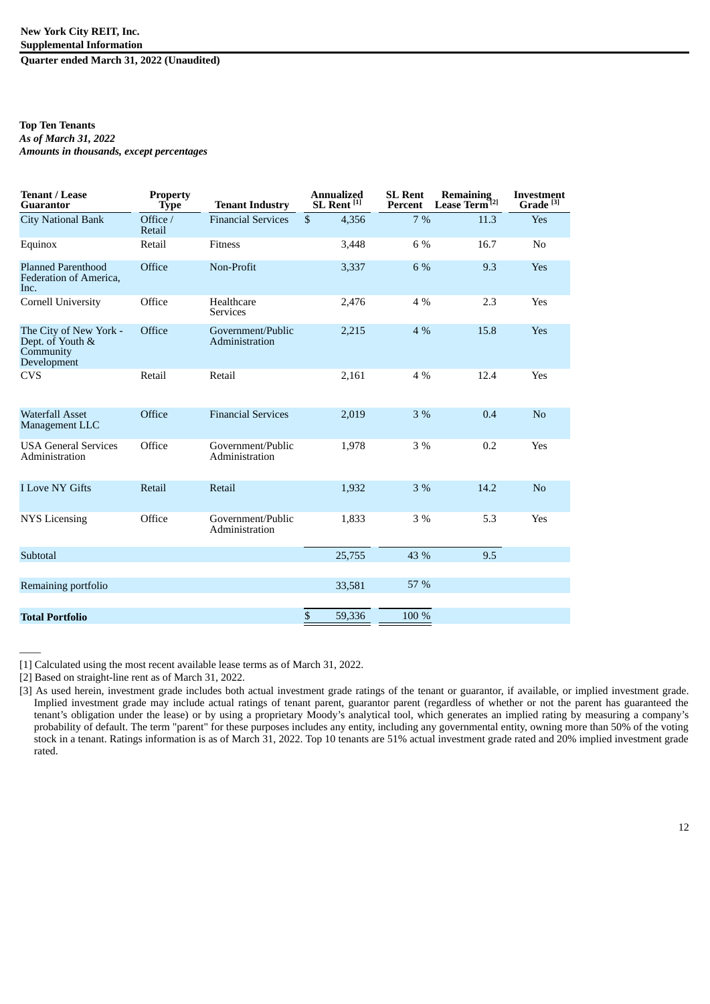#### **Top Ten Tenants** *As of March 31, 2022 Amounts in thousands, except percentages*

| <b>Tenant / Lease</b><br><b>Guarantor</b>                              | <b>Property</b><br><b>Type</b> | <b>Tenant Industry</b>              | <b>Annualized</b><br>SL Rent <sup>[1]</sup> | <b>SL Rent</b><br>Percent | <b>Remaining</b><br>Lease Term <sup>12]</sup> | <b>Investment</b><br>Grade <sup>[3]</sup> |
|------------------------------------------------------------------------|--------------------------------|-------------------------------------|---------------------------------------------|---------------------------|-----------------------------------------------|-------------------------------------------|
| <b>City National Bank</b>                                              | Office /<br>Retail             | <b>Financial Services</b>           | \$<br>4,356                                 | 7%                        | 11.3                                          | Yes                                       |
| Equinox                                                                | Retail                         | <b>Fitness</b>                      | 3,448                                       | 6 %                       | 16.7                                          | No                                        |
| <b>Planned Parenthood</b><br>Federation of America,<br>Inc.            | Office                         | Non-Profit                          | 3,337                                       | 6 %                       | 9.3                                           | Yes                                       |
| <b>Cornell University</b>                                              | Office                         | Healthcare<br><b>Services</b>       | 2,476                                       | 4 %                       | 2.3                                           | Yes                                       |
| The City of New York -<br>Dept. of Youth &<br>Community<br>Development | Office                         | Government/Public<br>Administration | 2,215                                       | 4%                        | 15.8                                          | Yes                                       |
| <b>CVS</b>                                                             | Retail                         | Retail                              | 2,161                                       | 4 %                       | 12.4                                          | Yes                                       |
| <b>Waterfall Asset</b><br>Management LLC                               | Office                         | <b>Financial Services</b>           | 2,019                                       | 3%                        | 0.4                                           | N <sub>o</sub>                            |
| <b>USA General Services</b><br>Administration                          | Office                         | Government/Public<br>Administration | 1,978                                       | 3 %                       | 0.2                                           | Yes                                       |
| <b>I Love NY Gifts</b>                                                 | Retail                         | Retail                              | 1,932                                       | 3%                        | 14.2                                          | N <sub>o</sub>                            |
| <b>NYS Licensing</b>                                                   | Office                         | Government/Public<br>Administration | 1,833                                       | $3\%$                     | 5.3                                           | Yes                                       |
| Subtotal                                                               |                                |                                     | 25,755                                      | 43 %                      | 9.5                                           |                                           |
| Remaining portfolio                                                    |                                |                                     | 33,581                                      | 57 %                      |                                               |                                           |
| <b>Total Portfolio</b>                                                 |                                |                                     | \$<br>59,336                                | 100 %                     |                                               |                                           |

[1] Calculated using the most recent available lease terms as of March 31, 2022.

[2] Based on straight-line rent as of March 31, 2022.

——

<sup>[3]</sup> As used herein, investment grade includes both actual investment grade ratings of the tenant or guarantor, if available, or implied investment grade. Implied investment grade may include actual ratings of tenant parent, guarantor parent (regardless of whether or not the parent has guaranteed the tenant's obligation under the lease) or by using a proprietary Moody's analytical tool, which generates an implied rating by measuring a company's probability of default. The term "parent" for these purposes includes any entity, including any governmental entity, owning more than 50% of the voting stock in a tenant. Ratings information is as of March 31, 2022. Top 10 tenants are 51% actual investment grade rated and 20% implied investment grade rated.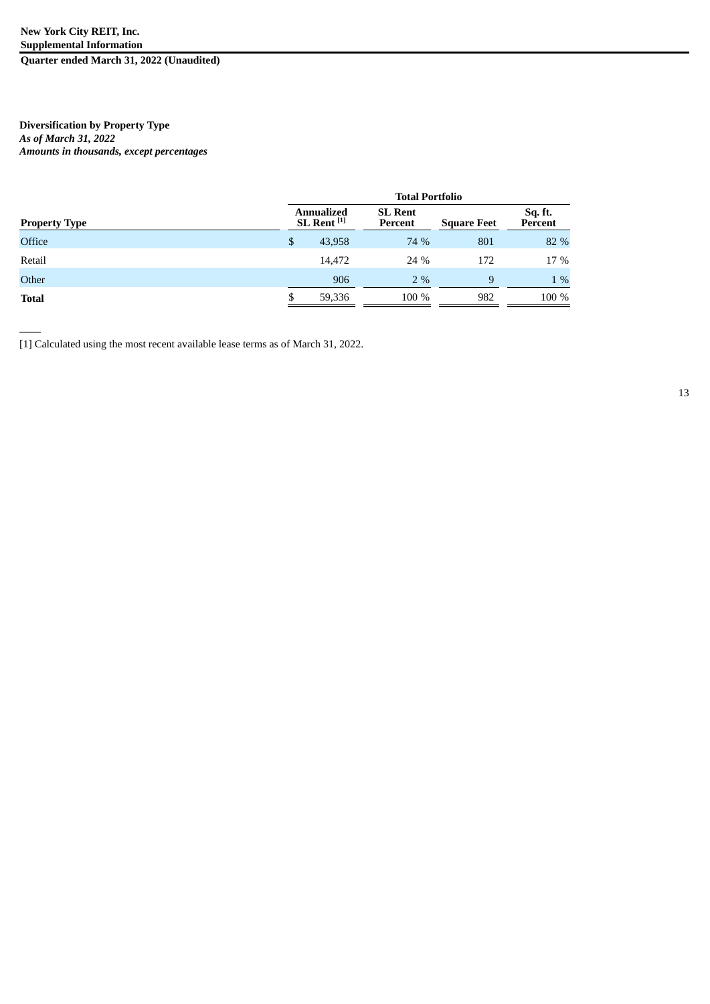### **Diversification by Property Type** *As of March 31, 2022 Amounts in thousands, except percentages*

——

|                      | <b>Total Portfolio</b>                      |        |                           |                    |                    |  |  |  |  |
|----------------------|---------------------------------------------|--------|---------------------------|--------------------|--------------------|--|--|--|--|
| <b>Property Type</b> | <b>Annualized</b><br>SL Rent <sup>[1]</sup> |        | <b>SL Rent</b><br>Percent | <b>Square Feet</b> | Sq. ft.<br>Percent |  |  |  |  |
| <b>Office</b>        | \$                                          | 43,958 | 74 %                      | 801                | 82 %               |  |  |  |  |
| Retail               |                                             | 14.472 | 24 %                      | 172                | 17 %               |  |  |  |  |
| Other                |                                             | 906    | $2\%$                     | 9                  | $1\%$              |  |  |  |  |
| <b>Total</b>         |                                             | 59,336 | 100 %                     | 982                | 100 %              |  |  |  |  |

[1] Calculated using the most recent available lease terms as of March 31, 2022.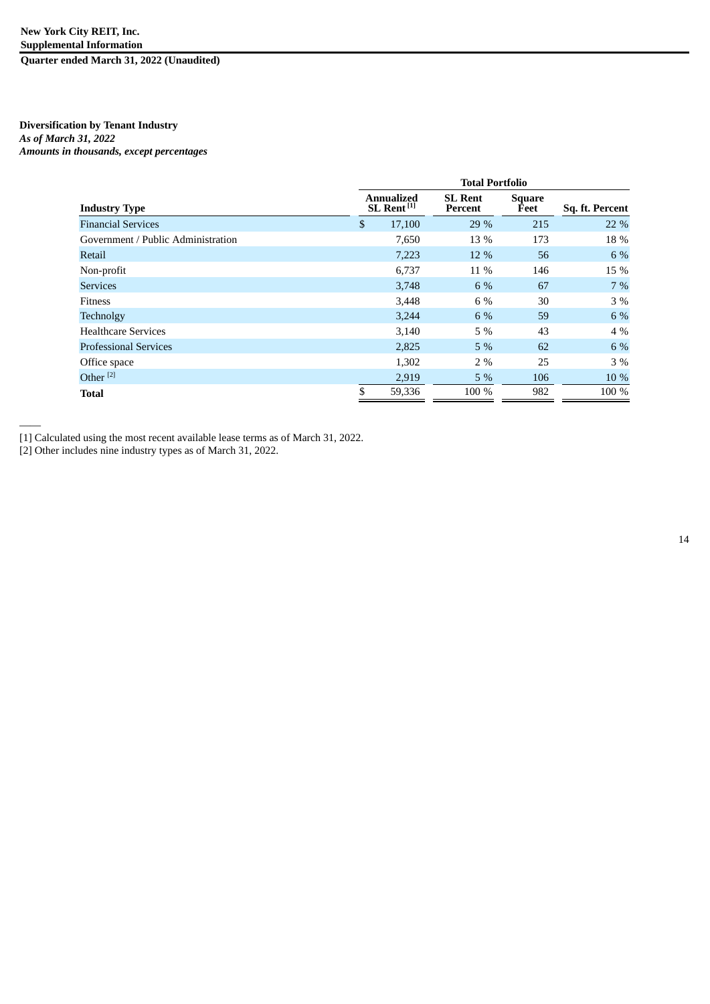### **Diversification by Tenant Industry** *As of March 31, 2022 Amounts in thousands, except percentages*

|                                    | <b>Total Portfolio</b> |                                      |                           |                |                 |  |  |  |  |  |
|------------------------------------|------------------------|--------------------------------------|---------------------------|----------------|-----------------|--|--|--|--|--|
| <b>Industry Type</b>               |                        | Annualized<br>SL Rent <sup>[1]</sup> | <b>SL Rent</b><br>Percent | Square<br>Feet | Sq. ft. Percent |  |  |  |  |  |
| <b>Financial Services</b>          | \$                     | 17,100                               | 29 %                      | 215            | 22 %            |  |  |  |  |  |
| Government / Public Administration |                        | 7,650                                | 13 %                      | 173            | 18 %            |  |  |  |  |  |
| Retail                             |                        | 7,223                                | 12 %                      | 56             | 6 %             |  |  |  |  |  |
| Non-profit                         |                        | 6,737                                | 11 %                      | 146            | 15 %            |  |  |  |  |  |
| <b>Services</b>                    |                        | 3,748                                | 6 %                       | 67             | $7\%$           |  |  |  |  |  |
| <b>Fitness</b>                     |                        | 3,448                                | 6 %                       | 30             | 3 %             |  |  |  |  |  |
| Technolgy                          |                        | 3,244                                | 6 %                       | 59             | 6 %             |  |  |  |  |  |
| <b>Healthcare Services</b>         |                        | 3,140                                | 5 %                       | 43             | $4\%$           |  |  |  |  |  |
| <b>Professional Services</b>       |                        | 2,825                                | $5\%$                     | 62             | 6 %             |  |  |  |  |  |
| Office space                       |                        | 1,302                                | 2%                        | 25             | $3\%$           |  |  |  |  |  |
| Other <sup>[2]</sup>               |                        | 2,919                                | 5%                        | 106            | 10 %            |  |  |  |  |  |
| <b>Total</b>                       | \$                     | 59,336                               | 100 %                     | 982            | 100 %           |  |  |  |  |  |

[1] Calculated using the most recent available lease terms as of March 31, 2022.

[2] Other includes nine industry types as of March 31, 2022.

——